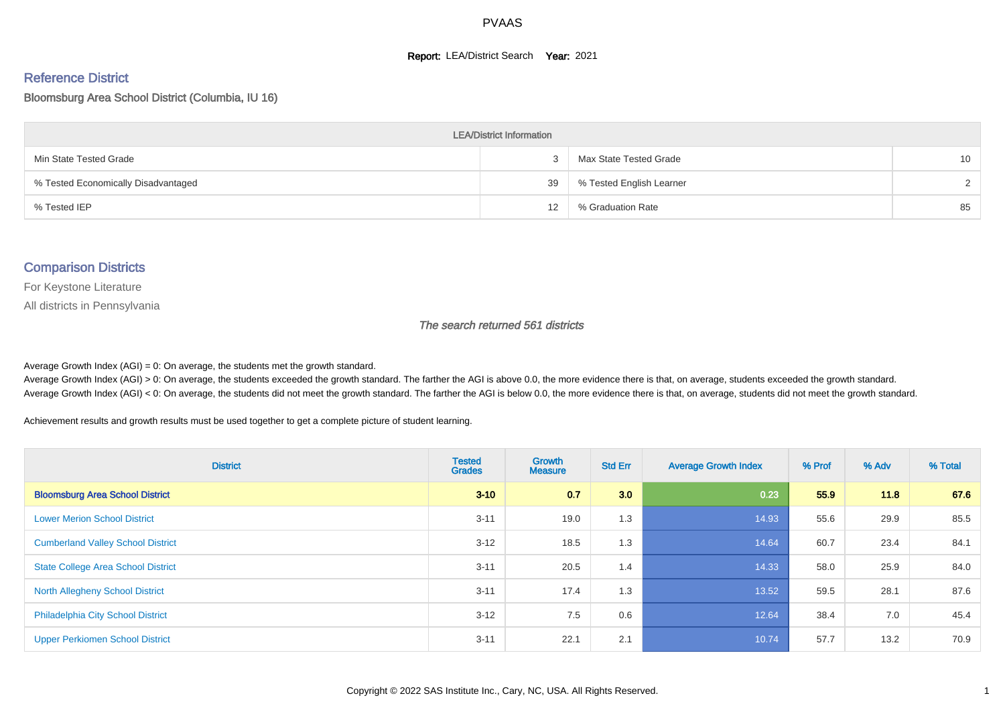#### **Report: LEA/District Search Year: 2021**

# Reference District

#### Bloomsburg Area School District (Columbia, IU 16)

| <b>LEA/District Information</b>     |    |                          |        |  |  |  |  |  |  |  |
|-------------------------------------|----|--------------------------|--------|--|--|--|--|--|--|--|
| Min State Tested Grade              |    | Max State Tested Grade   | 10     |  |  |  |  |  |  |  |
| % Tested Economically Disadvantaged | 39 | % Tested English Learner | $\sim$ |  |  |  |  |  |  |  |
| % Tested IEP                        | 12 | % Graduation Rate        | 85     |  |  |  |  |  |  |  |

#### Comparison Districts

For Keystone Literature

All districts in Pennsylvania

The search returned 561 districts

Average Growth Index  $(AGI) = 0$ : On average, the students met the growth standard.

Average Growth Index (AGI) > 0: On average, the students exceeded the growth standard. The farther the AGI is above 0.0, the more evidence there is that, on average, students exceeded the growth standard. Average Growth Index (AGI) < 0: On average, the students did not meet the growth standard. The farther the AGI is below 0.0, the more evidence there is that, on average, students did not meet the growth standard.

Achievement results and growth results must be used together to get a complete picture of student learning.

| <b>District</b>                           | <b>Tested</b><br><b>Grades</b> | Growth<br><b>Measure</b> | <b>Std Err</b> | <b>Average Growth Index</b> | % Prof | % Adv | % Total |
|-------------------------------------------|--------------------------------|--------------------------|----------------|-----------------------------|--------|-------|---------|
| <b>Bloomsburg Area School District</b>    | $3 - 10$                       | 0.7                      | 3.0            | 0.23                        | 55.9   | 11.8  | 67.6    |
| <b>Lower Merion School District</b>       | $3 - 11$                       | 19.0                     | 1.3            | 14.93                       | 55.6   | 29.9  | 85.5    |
| <b>Cumberland Valley School District</b>  | $3 - 12$                       | 18.5                     | 1.3            | 14.64                       | 60.7   | 23.4  | 84.1    |
| <b>State College Area School District</b> | $3 - 11$                       | 20.5                     | 1.4            | 14.33                       | 58.0   | 25.9  | 84.0    |
| <b>North Allegheny School District</b>    | $3 - 11$                       | 17.4                     | 1.3            | 13.52                       | 59.5   | 28.1  | 87.6    |
| <b>Philadelphia City School District</b>  | $3 - 12$                       | 7.5                      | 0.6            | 12.64                       | 38.4   | 7.0   | 45.4    |
| <b>Upper Perkiomen School District</b>    | $3 - 11$                       | 22.1                     | 2.1            | 10.74                       | 57.7   | 13.2  | 70.9    |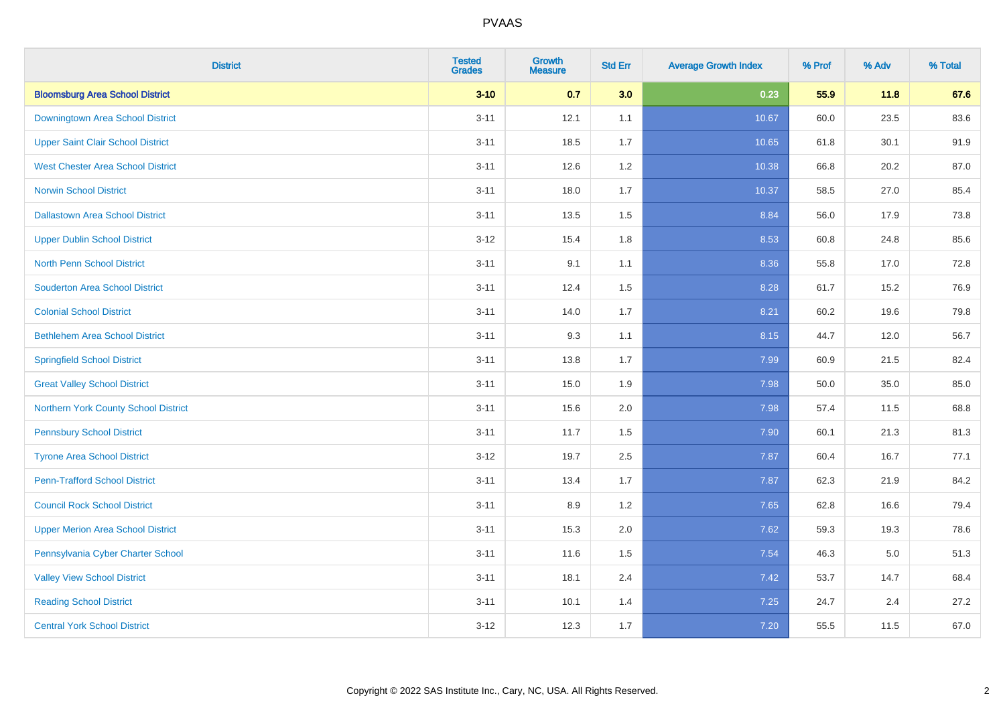| <b>District</b>                          | <b>Tested</b><br><b>Grades</b> | <b>Growth</b><br><b>Measure</b> | <b>Std Err</b> | <b>Average Growth Index</b> | % Prof | % Adv   | % Total |
|------------------------------------------|--------------------------------|---------------------------------|----------------|-----------------------------|--------|---------|---------|
| <b>Bloomsburg Area School District</b>   | $3 - 10$                       | 0.7                             | 3.0            | 0.23                        | 55.9   | 11.8    | 67.6    |
| Downingtown Area School District         | $3 - 11$                       | 12.1                            | 1.1            | 10.67                       | 60.0   | 23.5    | 83.6    |
| <b>Upper Saint Clair School District</b> | $3 - 11$                       | 18.5                            | 1.7            | 10.65                       | 61.8   | 30.1    | 91.9    |
| <b>West Chester Area School District</b> | $3 - 11$                       | 12.6                            | 1.2            | 10.38                       | 66.8   | 20.2    | 87.0    |
| <b>Norwin School District</b>            | $3 - 11$                       | 18.0                            | 1.7            | 10.37                       | 58.5   | 27.0    | 85.4    |
| <b>Dallastown Area School District</b>   | $3 - 11$                       | 13.5                            | 1.5            | 8.84                        | 56.0   | 17.9    | 73.8    |
| <b>Upper Dublin School District</b>      | $3-12$                         | 15.4                            | 1.8            | 8.53                        | 60.8   | 24.8    | 85.6    |
| <b>North Penn School District</b>        | $3 - 11$                       | 9.1                             | 1.1            | 8.36                        | 55.8   | 17.0    | 72.8    |
| <b>Souderton Area School District</b>    | $3 - 11$                       | 12.4                            | 1.5            | 8.28                        | 61.7   | 15.2    | 76.9    |
| <b>Colonial School District</b>          | $3 - 11$                       | 14.0                            | 1.7            | 8.21                        | 60.2   | 19.6    | 79.8    |
| <b>Bethlehem Area School District</b>    | $3 - 11$                       | 9.3                             | 1.1            | 8.15                        | 44.7   | 12.0    | 56.7    |
| <b>Springfield School District</b>       | $3 - 11$                       | 13.8                            | 1.7            | 7.99                        | 60.9   | 21.5    | 82.4    |
| <b>Great Valley School District</b>      | $3 - 11$                       | 15.0                            | 1.9            | 7.98                        | 50.0   | 35.0    | 85.0    |
| Northern York County School District     | $3 - 11$                       | 15.6                            | 2.0            | 7.98                        | 57.4   | 11.5    | 68.8    |
| <b>Pennsbury School District</b>         | $3 - 11$                       | 11.7                            | 1.5            | 7.90                        | 60.1   | 21.3    | 81.3    |
| <b>Tyrone Area School District</b>       | $3-12$                         | 19.7                            | 2.5            | 7.87                        | 60.4   | 16.7    | 77.1    |
| <b>Penn-Trafford School District</b>     | $3 - 11$                       | 13.4                            | 1.7            | 7.87                        | 62.3   | 21.9    | 84.2    |
| <b>Council Rock School District</b>      | $3 - 11$                       | 8.9                             | 1.2            | 7.65                        | 62.8   | 16.6    | 79.4    |
| <b>Upper Merion Area School District</b> | $3 - 11$                       | 15.3                            | 2.0            | 7.62                        | 59.3   | 19.3    | 78.6    |
| Pennsylvania Cyber Charter School        | $3 - 11$                       | 11.6                            | 1.5            | 7.54                        | 46.3   | $5.0\,$ | 51.3    |
| <b>Valley View School District</b>       | $3 - 11$                       | 18.1                            | 2.4            | 7.42                        | 53.7   | 14.7    | 68.4    |
| <b>Reading School District</b>           | $3 - 11$                       | 10.1                            | 1.4            | 7.25                        | 24.7   | 2.4     | 27.2    |
| <b>Central York School District</b>      | $3-12$                         | 12.3                            | 1.7            | $7.20$                      | 55.5   | 11.5    | 67.0    |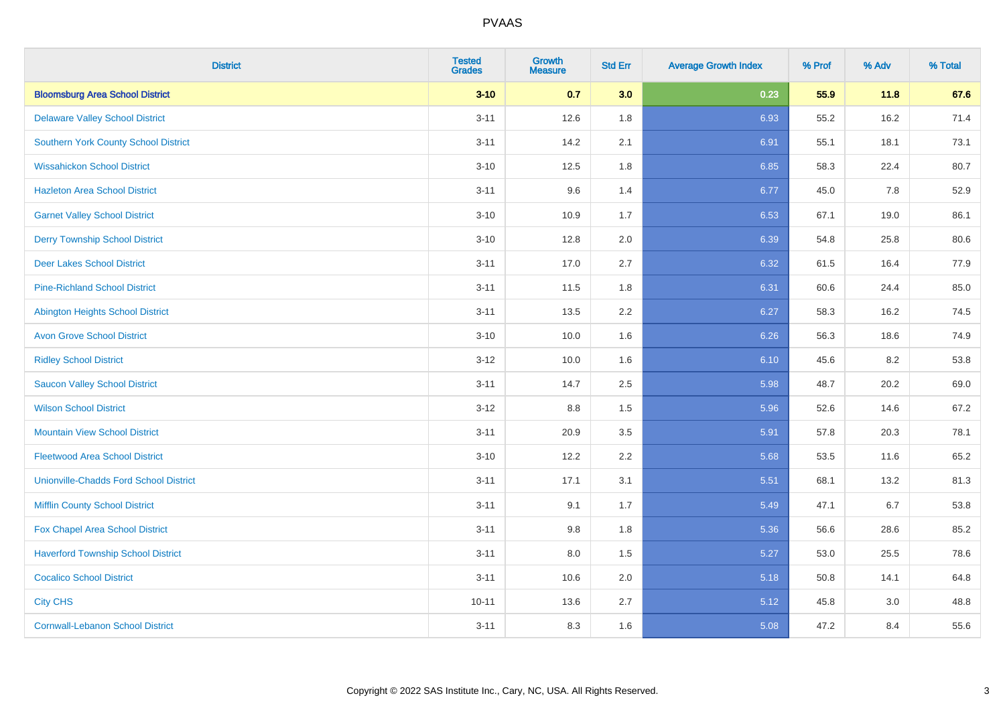| <b>District</b>                               | <b>Tested</b><br><b>Grades</b> | <b>Growth</b><br><b>Measure</b> | <b>Std Err</b> | <b>Average Growth Index</b> | % Prof | % Adv | % Total |
|-----------------------------------------------|--------------------------------|---------------------------------|----------------|-----------------------------|--------|-------|---------|
| <b>Bloomsburg Area School District</b>        | $3 - 10$                       | 0.7                             | 3.0            | 0.23                        | 55.9   | 11.8  | 67.6    |
| <b>Delaware Valley School District</b>        | $3 - 11$                       | 12.6                            | 1.8            | 6.93                        | 55.2   | 16.2  | 71.4    |
| <b>Southern York County School District</b>   | $3 - 11$                       | 14.2                            | 2.1            | 6.91                        | 55.1   | 18.1  | 73.1    |
| <b>Wissahickon School District</b>            | $3 - 10$                       | 12.5                            | 1.8            | 6.85                        | 58.3   | 22.4  | 80.7    |
| <b>Hazleton Area School District</b>          | $3 - 11$                       | 9.6                             | 1.4            | 6.77                        | 45.0   | 7.8   | 52.9    |
| <b>Garnet Valley School District</b>          | $3 - 10$                       | 10.9                            | 1.7            | 6.53                        | 67.1   | 19.0  | 86.1    |
| <b>Derry Township School District</b>         | $3 - 10$                       | 12.8                            | 2.0            | 6.39                        | 54.8   | 25.8  | 80.6    |
| <b>Deer Lakes School District</b>             | $3 - 11$                       | 17.0                            | 2.7            | 6.32                        | 61.5   | 16.4  | 77.9    |
| <b>Pine-Richland School District</b>          | $3 - 11$                       | 11.5                            | 1.8            | 6.31                        | 60.6   | 24.4  | 85.0    |
| <b>Abington Heights School District</b>       | $3 - 11$                       | 13.5                            | 2.2            | 6.27                        | 58.3   | 16.2  | 74.5    |
| <b>Avon Grove School District</b>             | $3 - 10$                       | 10.0                            | 1.6            | 6.26                        | 56.3   | 18.6  | 74.9    |
| <b>Ridley School District</b>                 | $3 - 12$                       | 10.0                            | 1.6            | 6.10                        | 45.6   | 8.2   | 53.8    |
| <b>Saucon Valley School District</b>          | $3 - 11$                       | 14.7                            | 2.5            | 5.98                        | 48.7   | 20.2  | 69.0    |
| <b>Wilson School District</b>                 | $3 - 12$                       | $8.8\,$                         | 1.5            | 5.96                        | 52.6   | 14.6  | 67.2    |
| <b>Mountain View School District</b>          | $3 - 11$                       | 20.9                            | 3.5            | 5.91                        | 57.8   | 20.3  | 78.1    |
| <b>Fleetwood Area School District</b>         | $3 - 10$                       | 12.2                            | 2.2            | 5.68                        | 53.5   | 11.6  | 65.2    |
| <b>Unionville-Chadds Ford School District</b> | $3 - 11$                       | 17.1                            | 3.1            | 5.51                        | 68.1   | 13.2  | 81.3    |
| <b>Mifflin County School District</b>         | $3 - 11$                       | 9.1                             | 1.7            | 5.49                        | 47.1   | 6.7   | 53.8    |
| Fox Chapel Area School District               | $3 - 11$                       | 9.8                             | 1.8            | 5.36                        | 56.6   | 28.6  | 85.2    |
| <b>Haverford Township School District</b>     | $3 - 11$                       | 8.0                             | 1.5            | 5.27                        | 53.0   | 25.5  | 78.6    |
| <b>Cocalico School District</b>               | $3 - 11$                       | 10.6                            | 2.0            | 5.18                        | 50.8   | 14.1  | 64.8    |
| <b>City CHS</b>                               | $10 - 11$                      | 13.6                            | 2.7            | 5.12                        | 45.8   | 3.0   | 48.8    |
| <b>Cornwall-Lebanon School District</b>       | $3 - 11$                       | 8.3                             | 1.6            | 5.08                        | 47.2   | 8.4   | 55.6    |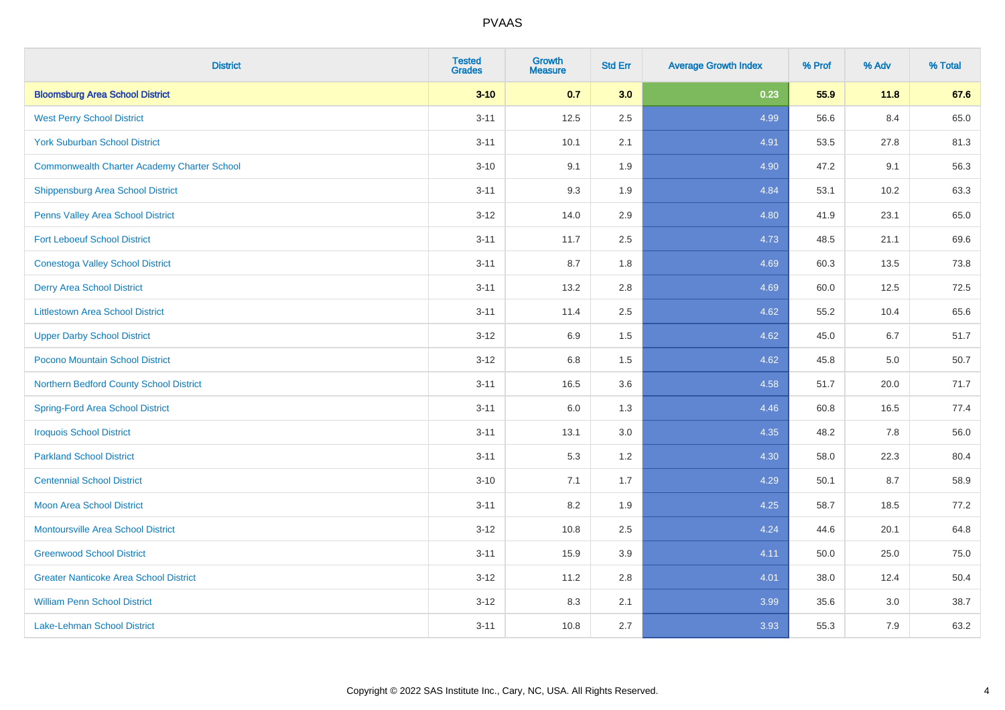| <b>District</b>                                    | <b>Tested</b><br><b>Grades</b> | <b>Growth</b><br><b>Measure</b> | <b>Std Err</b> | <b>Average Growth Index</b> | % Prof | % Adv | % Total |
|----------------------------------------------------|--------------------------------|---------------------------------|----------------|-----------------------------|--------|-------|---------|
| <b>Bloomsburg Area School District</b>             | $3 - 10$                       | 0.7                             | 3.0            | 0.23                        | 55.9   | 11.8  | 67.6    |
| <b>West Perry School District</b>                  | $3 - 11$                       | 12.5                            | 2.5            | 4.99                        | 56.6   | 8.4   | 65.0    |
| <b>York Suburban School District</b>               | $3 - 11$                       | 10.1                            | 2.1            | 4.91                        | 53.5   | 27.8  | 81.3    |
| <b>Commonwealth Charter Academy Charter School</b> | $3 - 10$                       | 9.1                             | 1.9            | 4.90                        | 47.2   | 9.1   | 56.3    |
| Shippensburg Area School District                  | $3 - 11$                       | 9.3                             | 1.9            | 4.84                        | 53.1   | 10.2  | 63.3    |
| Penns Valley Area School District                  | $3 - 12$                       | 14.0                            | 2.9            | 4.80                        | 41.9   | 23.1  | 65.0    |
| <b>Fort Leboeuf School District</b>                | $3 - 11$                       | 11.7                            | 2.5            | 4.73                        | 48.5   | 21.1  | 69.6    |
| <b>Conestoga Valley School District</b>            | $3 - 11$                       | 8.7                             | 1.8            | 4.69                        | 60.3   | 13.5  | 73.8    |
| <b>Derry Area School District</b>                  | $3 - 11$                       | 13.2                            | 2.8            | 4.69                        | 60.0   | 12.5  | 72.5    |
| <b>Littlestown Area School District</b>            | $3 - 11$                       | 11.4                            | $2.5\,$        | 4.62                        | 55.2   | 10.4  | 65.6    |
| <b>Upper Darby School District</b>                 | $3 - 12$                       | 6.9                             | 1.5            | 4.62                        | 45.0   | 6.7   | 51.7    |
| Pocono Mountain School District                    | $3 - 12$                       | 6.8                             | 1.5            | 4.62                        | 45.8   | 5.0   | 50.7    |
| Northern Bedford County School District            | $3 - 11$                       | 16.5                            | 3.6            | 4.58                        | 51.7   | 20.0  | 71.7    |
| <b>Spring-Ford Area School District</b>            | $3 - 11$                       | 6.0                             | 1.3            | 4.46                        | 60.8   | 16.5  | 77.4    |
| <b>Iroquois School District</b>                    | $3 - 11$                       | 13.1                            | 3.0            | 4.35                        | 48.2   | 7.8   | 56.0    |
| <b>Parkland School District</b>                    | $3 - 11$                       | 5.3                             | 1.2            | 4.30                        | 58.0   | 22.3  | 80.4    |
| <b>Centennial School District</b>                  | $3 - 10$                       | 7.1                             | 1.7            | 4.29                        | 50.1   | 8.7   | 58.9    |
| <b>Moon Area School District</b>                   | $3 - 11$                       | 8.2                             | 1.9            | 4.25                        | 58.7   | 18.5  | 77.2    |
| <b>Montoursville Area School District</b>          | $3 - 12$                       | 10.8                            | 2.5            | 4.24                        | 44.6   | 20.1  | 64.8    |
| <b>Greenwood School District</b>                   | $3 - 11$                       | 15.9                            | 3.9            | 4.11                        | 50.0   | 25.0  | 75.0    |
| <b>Greater Nanticoke Area School District</b>      | $3 - 12$                       | 11.2                            | 2.8            | 4.01                        | 38.0   | 12.4  | 50.4    |
| <b>William Penn School District</b>                | $3 - 12$                       | 8.3                             | 2.1            | 3.99                        | 35.6   | 3.0   | 38.7    |
| <b>Lake-Lehman School District</b>                 | $3 - 11$                       | 10.8                            | 2.7            | 3.93                        | 55.3   | 7.9   | 63.2    |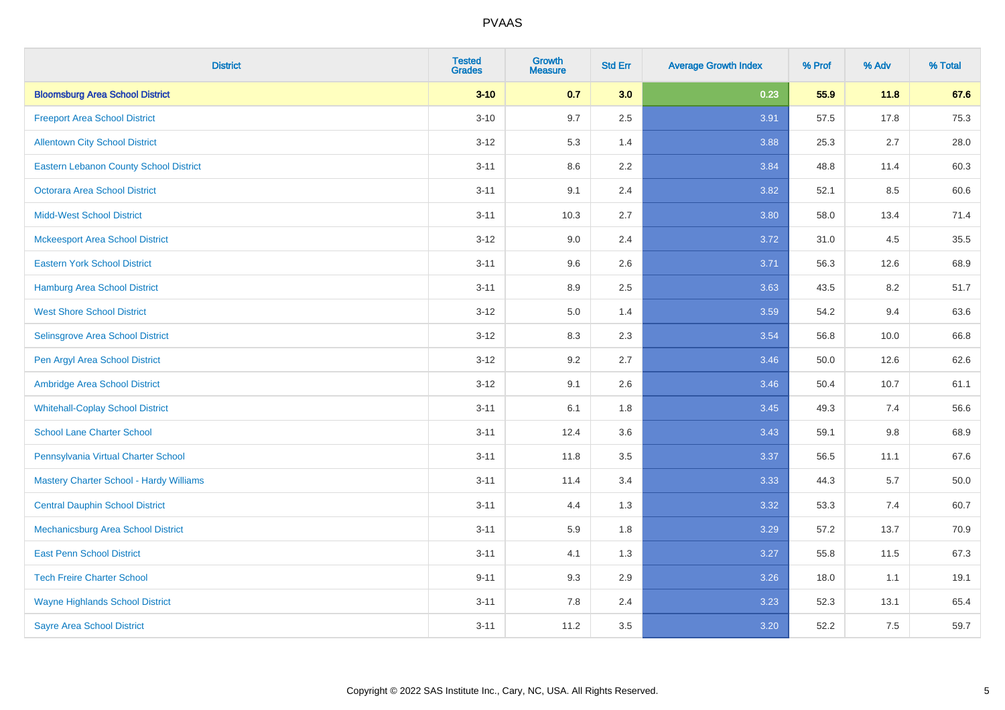| <b>District</b>                                | <b>Tested</b><br><b>Grades</b> | <b>Growth</b><br><b>Measure</b> | <b>Std Err</b> | <b>Average Growth Index</b> | % Prof | % Adv | % Total  |
|------------------------------------------------|--------------------------------|---------------------------------|----------------|-----------------------------|--------|-------|----------|
| <b>Bloomsburg Area School District</b>         | $3 - 10$                       | 0.7                             | 3.0            | 0.23                        | 55.9   | 11.8  | 67.6     |
| <b>Freeport Area School District</b>           | $3 - 10$                       | 9.7                             | 2.5            | 3.91                        | 57.5   | 17.8  | 75.3     |
| <b>Allentown City School District</b>          | $3 - 12$                       | 5.3                             | 1.4            | 3.88                        | 25.3   | 2.7   | 28.0     |
| <b>Eastern Lebanon County School District</b>  | $3 - 11$                       | 8.6                             | 2.2            | 3.84                        | 48.8   | 11.4  | 60.3     |
| <b>Octorara Area School District</b>           | $3 - 11$                       | 9.1                             | 2.4            | 3.82                        | 52.1   | 8.5   | 60.6     |
| <b>Midd-West School District</b>               | $3 - 11$                       | 10.3                            | 2.7            | 3.80                        | 58.0   | 13.4  | 71.4     |
| <b>Mckeesport Area School District</b>         | $3 - 12$                       | 9.0                             | 2.4            | 3.72                        | 31.0   | 4.5   | 35.5     |
| <b>Eastern York School District</b>            | $3 - 11$                       | 9.6                             | 2.6            | 3.71                        | 56.3   | 12.6  | 68.9     |
| <b>Hamburg Area School District</b>            | $3 - 11$                       | 8.9                             | 2.5            | 3.63                        | 43.5   | 8.2   | 51.7     |
| <b>West Shore School District</b>              | $3 - 12$                       | 5.0                             | 1.4            | 3.59                        | 54.2   | 9.4   | 63.6     |
| Selinsgrove Area School District               | $3 - 12$                       | 8.3                             | 2.3            | 3.54                        | 56.8   | 10.0  | 66.8     |
| Pen Argyl Area School District                 | $3 - 12$                       | 9.2                             | 2.7            | 3.46                        | 50.0   | 12.6  | 62.6     |
| Ambridge Area School District                  | $3 - 12$                       | 9.1                             | 2.6            | 3.46                        | 50.4   | 10.7  | 61.1     |
| <b>Whitehall-Coplay School District</b>        | $3 - 11$                       | 6.1                             | 1.8            | 3.45                        | 49.3   | 7.4   | 56.6     |
| <b>School Lane Charter School</b>              | $3 - 11$                       | 12.4                            | 3.6            | 3.43                        | 59.1   | 9.8   | 68.9     |
| Pennsylvania Virtual Charter School            | $3 - 11$                       | 11.8                            | 3.5            | 3.37                        | 56.5   | 11.1  | 67.6     |
| <b>Mastery Charter School - Hardy Williams</b> | $3 - 11$                       | 11.4                            | 3.4            | 3.33                        | 44.3   | 5.7   | $50.0\,$ |
| <b>Central Dauphin School District</b>         | $3 - 11$                       | 4.4                             | 1.3            | 3.32                        | 53.3   | 7.4   | 60.7     |
| Mechanicsburg Area School District             | $3 - 11$                       | 5.9                             | 1.8            | 3.29                        | 57.2   | 13.7  | 70.9     |
| <b>East Penn School District</b>               | $3 - 11$                       | 4.1                             | 1.3            | 3.27                        | 55.8   | 11.5  | 67.3     |
| <b>Tech Freire Charter School</b>              | $9 - 11$                       | 9.3                             | 2.9            | 3.26                        | 18.0   | 1.1   | 19.1     |
| <b>Wayne Highlands School District</b>         | $3 - 11$                       | 7.8                             | 2.4            | 3.23                        | 52.3   | 13.1  | 65.4     |
| <b>Sayre Area School District</b>              | $3 - 11$                       | 11.2                            | 3.5            | 3.20                        | 52.2   | 7.5   | 59.7     |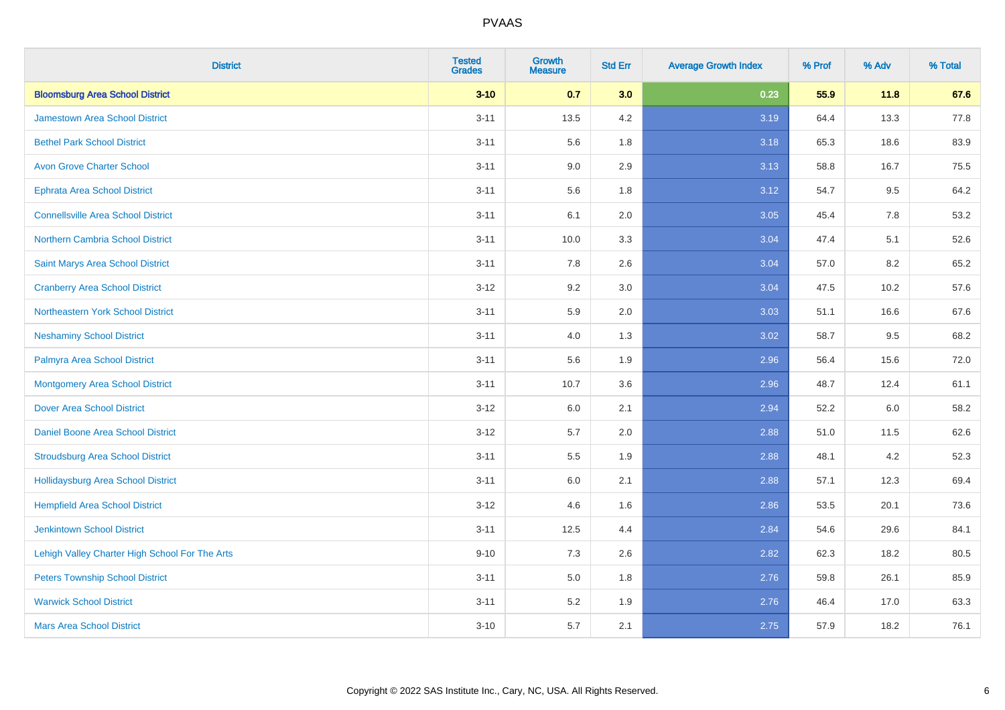| <b>District</b>                                | <b>Tested</b><br><b>Grades</b> | <b>Growth</b><br><b>Measure</b> | <b>Std Err</b> | <b>Average Growth Index</b> | % Prof | % Adv | % Total |
|------------------------------------------------|--------------------------------|---------------------------------|----------------|-----------------------------|--------|-------|---------|
| <b>Bloomsburg Area School District</b>         | $3 - 10$                       | 0.7                             | 3.0            | 0.23                        | 55.9   | 11.8  | 67.6    |
| <b>Jamestown Area School District</b>          | $3 - 11$                       | 13.5                            | 4.2            | 3.19                        | 64.4   | 13.3  | 77.8    |
| <b>Bethel Park School District</b>             | $3 - 11$                       | 5.6                             | 1.8            | 3.18                        | 65.3   | 18.6  | 83.9    |
| <b>Avon Grove Charter School</b>               | $3 - 11$                       | 9.0                             | 2.9            | 3.13                        | 58.8   | 16.7  | 75.5    |
| <b>Ephrata Area School District</b>            | $3 - 11$                       | 5.6                             | 1.8            | 3.12                        | 54.7   | 9.5   | 64.2    |
| <b>Connellsville Area School District</b>      | $3 - 11$                       | 6.1                             | 2.0            | 3.05                        | 45.4   | 7.8   | 53.2    |
| Northern Cambria School District               | $3 - 11$                       | 10.0                            | 3.3            | 3.04                        | 47.4   | 5.1   | 52.6    |
| <b>Saint Marys Area School District</b>        | $3 - 11$                       | 7.8                             | 2.6            | 3.04                        | 57.0   | 8.2   | 65.2    |
| <b>Cranberry Area School District</b>          | $3 - 12$                       | 9.2                             | 3.0            | 3.04                        | 47.5   | 10.2  | 57.6    |
| Northeastern York School District              | $3 - 11$                       | 5.9                             | 2.0            | 3.03                        | 51.1   | 16.6  | 67.6    |
| <b>Neshaminy School District</b>               | $3 - 11$                       | 4.0                             | 1.3            | 3.02                        | 58.7   | 9.5   | 68.2    |
| Palmyra Area School District                   | $3 - 11$                       | 5.6                             | 1.9            | 2.96                        | 56.4   | 15.6  | 72.0    |
| <b>Montgomery Area School District</b>         | $3 - 11$                       | 10.7                            | 3.6            | 2.96                        | 48.7   | 12.4  | 61.1    |
| <b>Dover Area School District</b>              | $3 - 12$                       | 6.0                             | 2.1            | 2.94                        | 52.2   | 6.0   | 58.2    |
| Daniel Boone Area School District              | $3 - 12$                       | 5.7                             | 2.0            | 2.88                        | 51.0   | 11.5  | 62.6    |
| <b>Stroudsburg Area School District</b>        | $3 - 11$                       | 5.5                             | 1.9            | 2.88                        | 48.1   | 4.2   | 52.3    |
| <b>Hollidaysburg Area School District</b>      | $3 - 11$                       | 6.0                             | 2.1            | 2.88                        | 57.1   | 12.3  | 69.4    |
| <b>Hempfield Area School District</b>          | $3 - 12$                       | 4.6                             | 1.6            | 2.86                        | 53.5   | 20.1  | 73.6    |
| <b>Jenkintown School District</b>              | $3 - 11$                       | 12.5                            | 4.4            | 2.84                        | 54.6   | 29.6  | 84.1    |
| Lehigh Valley Charter High School For The Arts | $9 - 10$                       | 7.3                             | 2.6            | 2.82                        | 62.3   | 18.2  | 80.5    |
| <b>Peters Township School District</b>         | $3 - 11$                       | 5.0                             | 1.8            | 2.76                        | 59.8   | 26.1  | 85.9    |
| <b>Warwick School District</b>                 | $3 - 11$                       | 5.2                             | 1.9            | 2.76                        | 46.4   | 17.0  | 63.3    |
| <b>Mars Area School District</b>               | $3 - 10$                       | 5.7                             | 2.1            | 2.75                        | 57.9   | 18.2  | 76.1    |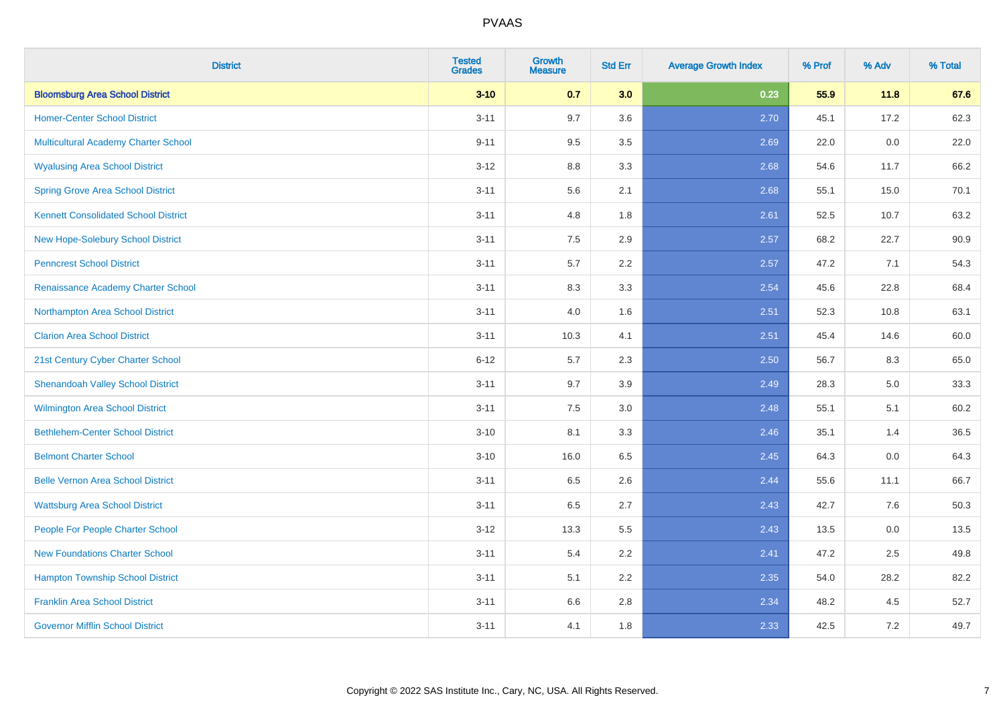| <b>District</b>                             | <b>Tested</b><br><b>Grades</b> | <b>Growth</b><br><b>Measure</b> | <b>Std Err</b> | <b>Average Growth Index</b> | % Prof | % Adv | % Total |
|---------------------------------------------|--------------------------------|---------------------------------|----------------|-----------------------------|--------|-------|---------|
| <b>Bloomsburg Area School District</b>      | $3 - 10$                       | 0.7                             | 3.0            | 0.23                        | 55.9   | 11.8  | 67.6    |
| <b>Homer-Center School District</b>         | $3 - 11$                       | 9.7                             | 3.6            | 2.70                        | 45.1   | 17.2  | 62.3    |
| Multicultural Academy Charter School        | $9 - 11$                       | 9.5                             | 3.5            | 2.69                        | 22.0   | 0.0   | 22.0    |
| <b>Wyalusing Area School District</b>       | $3-12$                         | 8.8                             | 3.3            | 2.68                        | 54.6   | 11.7  | 66.2    |
| <b>Spring Grove Area School District</b>    | $3 - 11$                       | 5.6                             | 2.1            | 2.68                        | 55.1   | 15.0  | 70.1    |
| <b>Kennett Consolidated School District</b> | $3 - 11$                       | 4.8                             | 1.8            | 2.61                        | 52.5   | 10.7  | 63.2    |
| New Hope-Solebury School District           | $3 - 11$                       | 7.5                             | 2.9            | 2.57                        | 68.2   | 22.7  | 90.9    |
| <b>Penncrest School District</b>            | $3 - 11$                       | 5.7                             | 2.2            | 2.57                        | 47.2   | 7.1   | 54.3    |
| Renaissance Academy Charter School          | $3 - 11$                       | 8.3                             | 3.3            | 2.54                        | 45.6   | 22.8  | 68.4    |
| Northampton Area School District            | $3 - 11$                       | 4.0                             | 1.6            | 2.51                        | 52.3   | 10.8  | 63.1    |
| <b>Clarion Area School District</b>         | $3 - 11$                       | 10.3                            | 4.1            | 2.51                        | 45.4   | 14.6  | 60.0    |
| 21st Century Cyber Charter School           | $6 - 12$                       | 5.7                             | 2.3            | 2.50                        | 56.7   | 8.3   | 65.0    |
| <b>Shenandoah Valley School District</b>    | $3 - 11$                       | 9.7                             | 3.9            | 2.49                        | 28.3   | 5.0   | 33.3    |
| <b>Wilmington Area School District</b>      | $3 - 11$                       | $7.5\,$                         | 3.0            | 2.48                        | 55.1   | 5.1   | 60.2    |
| <b>Bethlehem-Center School District</b>     | $3 - 10$                       | 8.1                             | 3.3            | 2.46                        | 35.1   | 1.4   | 36.5    |
| <b>Belmont Charter School</b>               | $3 - 10$                       | 16.0                            | 6.5            | 2.45                        | 64.3   | 0.0   | 64.3    |
| <b>Belle Vernon Area School District</b>    | $3 - 11$                       | 6.5                             | 2.6            | 2.44                        | 55.6   | 11.1  | 66.7    |
| <b>Wattsburg Area School District</b>       | $3 - 11$                       | 6.5                             | 2.7            | 2.43                        | 42.7   | 7.6   | 50.3    |
| People For People Charter School            | $3 - 12$                       | 13.3                            | 5.5            | 2.43                        | 13.5   | 0.0   | 13.5    |
| <b>New Foundations Charter School</b>       | $3 - 11$                       | 5.4                             | 2.2            | 2.41                        | 47.2   | 2.5   | 49.8    |
| <b>Hampton Township School District</b>     | $3 - 11$                       | 5.1                             | 2.2            | 2.35                        | 54.0   | 28.2  | 82.2    |
| <b>Franklin Area School District</b>        | $3 - 11$                       | 6.6                             | 2.8            | 2.34                        | 48.2   | 4.5   | 52.7    |
| <b>Governor Mifflin School District</b>     | $3 - 11$                       | 4.1                             | 1.8            | 2.33                        | 42.5   | 7.2   | 49.7    |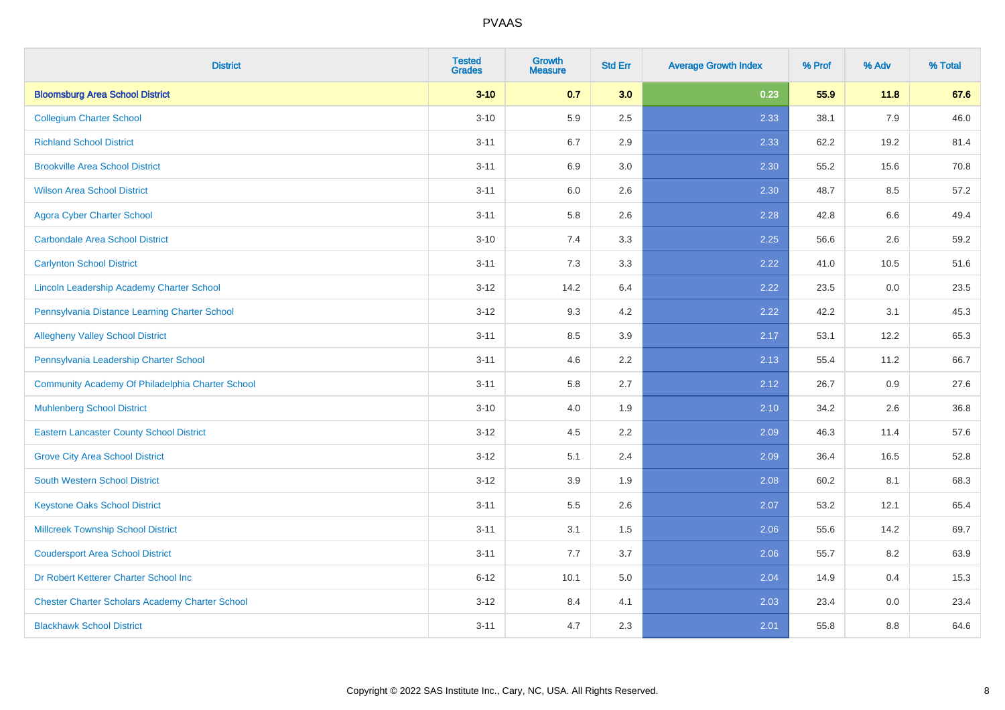| <b>District</b>                                        | <b>Tested</b><br><b>Grades</b> | <b>Growth</b><br><b>Measure</b> | <b>Std Err</b> | <b>Average Growth Index</b> | % Prof | % Adv | % Total |
|--------------------------------------------------------|--------------------------------|---------------------------------|----------------|-----------------------------|--------|-------|---------|
| <b>Bloomsburg Area School District</b>                 | $3 - 10$                       | 0.7                             | 3.0            | 0.23                        | 55.9   | 11.8  | 67.6    |
| <b>Collegium Charter School</b>                        | $3 - 10$                       | 5.9                             | 2.5            | 2.33                        | 38.1   | 7.9   | 46.0    |
| <b>Richland School District</b>                        | $3 - 11$                       | 6.7                             | 2.9            | 2.33                        | 62.2   | 19.2  | 81.4    |
| <b>Brookville Area School District</b>                 | $3 - 11$                       | 6.9                             | 3.0            | 2.30                        | 55.2   | 15.6  | 70.8    |
| <b>Wilson Area School District</b>                     | $3 - 11$                       | 6.0                             | 2.6            | 2.30                        | 48.7   | 8.5   | 57.2    |
| <b>Agora Cyber Charter School</b>                      | $3 - 11$                       | 5.8                             | 2.6            | 2.28                        | 42.8   | 6.6   | 49.4    |
| <b>Carbondale Area School District</b>                 | $3 - 10$                       | 7.4                             | 3.3            | 2.25                        | 56.6   | 2.6   | 59.2    |
| <b>Carlynton School District</b>                       | $3 - 11$                       | 7.3                             | 3.3            | 2.22                        | 41.0   | 10.5  | 51.6    |
| Lincoln Leadership Academy Charter School              | $3 - 12$                       | 14.2                            | 6.4            | 2.22                        | 23.5   | 0.0   | 23.5    |
| Pennsylvania Distance Learning Charter School          | $3 - 12$                       | 9.3                             | 4.2            | 2.22                        | 42.2   | 3.1   | 45.3    |
| <b>Allegheny Valley School District</b>                | $3 - 11$                       | 8.5                             | 3.9            | 2.17                        | 53.1   | 12.2  | 65.3    |
| Pennsylvania Leadership Charter School                 | $3 - 11$                       | 4.6                             | 2.2            | 2.13                        | 55.4   | 11.2  | 66.7    |
| Community Academy Of Philadelphia Charter School       | $3 - 11$                       | 5.8                             | 2.7            | 2.12                        | 26.7   | 0.9   | 27.6    |
| <b>Muhlenberg School District</b>                      | $3 - 10$                       | 4.0                             | 1.9            | 2.10                        | 34.2   | 2.6   | 36.8    |
| <b>Eastern Lancaster County School District</b>        | $3 - 12$                       | 4.5                             | 2.2            | 2.09                        | 46.3   | 11.4  | 57.6    |
| <b>Grove City Area School District</b>                 | $3 - 12$                       | 5.1                             | 2.4            | 2.09                        | 36.4   | 16.5  | 52.8    |
| <b>South Western School District</b>                   | $3 - 12$                       | 3.9                             | 1.9            | 2.08                        | 60.2   | 8.1   | 68.3    |
| <b>Keystone Oaks School District</b>                   | $3 - 11$                       | 5.5                             | 2.6            | 2.07                        | 53.2   | 12.1  | 65.4    |
| <b>Millcreek Township School District</b>              | $3 - 11$                       | 3.1                             | 1.5            | 2.06                        | 55.6   | 14.2  | 69.7    |
| <b>Coudersport Area School District</b>                | $3 - 11$                       | 7.7                             | 3.7            | 2.06                        | 55.7   | 8.2   | 63.9    |
| Dr Robert Ketterer Charter School Inc                  | $6 - 12$                       | 10.1                            | 5.0            | 2.04                        | 14.9   | 0.4   | 15.3    |
| <b>Chester Charter Scholars Academy Charter School</b> | $3 - 12$                       | 8.4                             | 4.1            | 2.03                        | 23.4   | 0.0   | 23.4    |
| <b>Blackhawk School District</b>                       | $3 - 11$                       | 4.7                             | 2.3            | 2.01                        | 55.8   | 8.8   | 64.6    |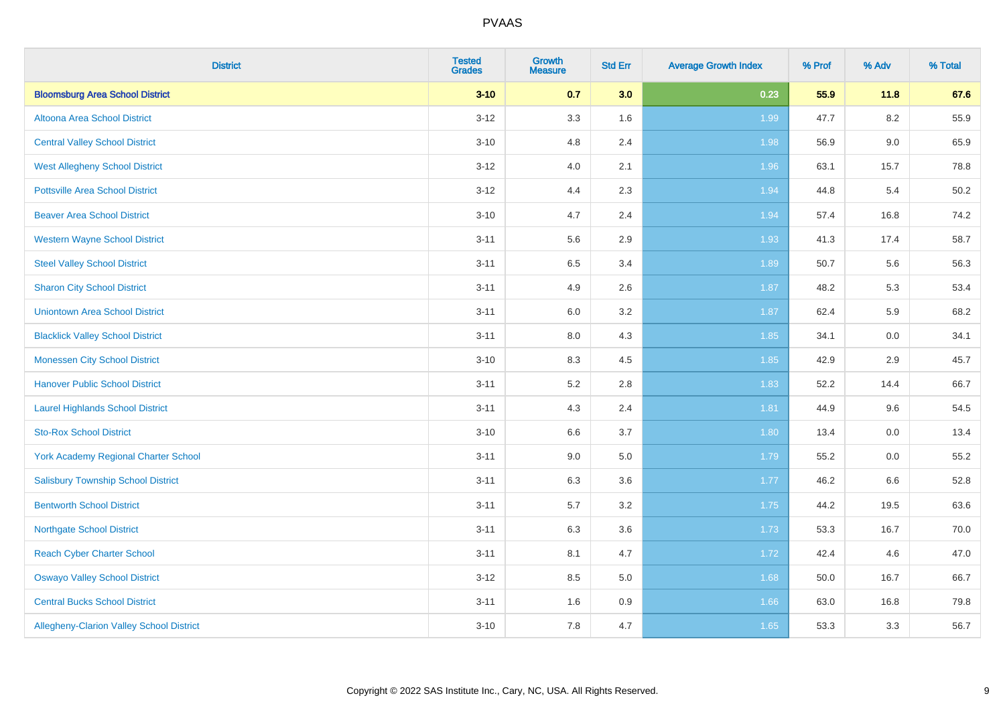| <b>District</b>                           | <b>Tested</b><br><b>Grades</b> | <b>Growth</b><br><b>Measure</b> | <b>Std Err</b> | <b>Average Growth Index</b> | % Prof | % Adv   | % Total |
|-------------------------------------------|--------------------------------|---------------------------------|----------------|-----------------------------|--------|---------|---------|
| <b>Bloomsburg Area School District</b>    | $3 - 10$                       | 0.7                             | 3.0            | 0.23                        | 55.9   | 11.8    | 67.6    |
| Altoona Area School District              | $3 - 12$                       | 3.3                             | 1.6            | 1.99                        | 47.7   | $8.2\,$ | 55.9    |
| <b>Central Valley School District</b>     | $3 - 10$                       | 4.8                             | 2.4            | 1.98                        | 56.9   | 9.0     | 65.9    |
| <b>West Allegheny School District</b>     | $3 - 12$                       | 4.0                             | 2.1            | 1.96                        | 63.1   | 15.7    | 78.8    |
| <b>Pottsville Area School District</b>    | $3 - 12$                       | 4.4                             | 2.3            | 1.94                        | 44.8   | 5.4     | 50.2    |
| <b>Beaver Area School District</b>        | $3 - 10$                       | 4.7                             | 2.4            | 1.94                        | 57.4   | 16.8    | 74.2    |
| <b>Western Wayne School District</b>      | $3 - 11$                       | 5.6                             | 2.9            | 1.93                        | 41.3   | 17.4    | 58.7    |
| <b>Steel Valley School District</b>       | $3 - 11$                       | 6.5                             | 3.4            | 1.89                        | 50.7   | 5.6     | 56.3    |
| <b>Sharon City School District</b>        | $3 - 11$                       | 4.9                             | 2.6            | 1.87                        | 48.2   | 5.3     | 53.4    |
| <b>Uniontown Area School District</b>     | $3 - 11$                       | 6.0                             | 3.2            | 1.87                        | 62.4   | 5.9     | 68.2    |
| <b>Blacklick Valley School District</b>   | $3 - 11$                       | $8.0\,$                         | 4.3            | 1.85                        | 34.1   | 0.0     | 34.1    |
| <b>Monessen City School District</b>      | $3 - 10$                       | 8.3                             | 4.5            | 1.85                        | 42.9   | 2.9     | 45.7    |
| <b>Hanover Public School District</b>     | $3 - 11$                       | 5.2                             | 2.8            | 1.83                        | 52.2   | 14.4    | 66.7    |
| <b>Laurel Highlands School District</b>   | $3 - 11$                       | 4.3                             | 2.4            | 1.81                        | 44.9   | 9.6     | 54.5    |
| <b>Sto-Rox School District</b>            | $3 - 10$                       | 6.6                             | 3.7            | 1.80                        | 13.4   | 0.0     | 13.4    |
| York Academy Regional Charter School      | $3 - 11$                       | 9.0                             | 5.0            | 1.79                        | 55.2   | $0.0\,$ | 55.2    |
| <b>Salisbury Township School District</b> | $3 - 11$                       | 6.3                             | 3.6            | 1.77                        | 46.2   | 6.6     | 52.8    |
| <b>Bentworth School District</b>          | $3 - 11$                       | 5.7                             | 3.2            | 1.75                        | 44.2   | 19.5    | 63.6    |
| <b>Northgate School District</b>          | $3 - 11$                       | 6.3                             | 3.6            | 1.73                        | 53.3   | 16.7    | 70.0    |
| <b>Reach Cyber Charter School</b>         | $3 - 11$                       | 8.1                             | 4.7            | 1.72                        | 42.4   | 4.6     | 47.0    |
| <b>Oswayo Valley School District</b>      | $3 - 12$                       | 8.5                             | 5.0            | 1.68                        | 50.0   | 16.7    | 66.7    |
| <b>Central Bucks School District</b>      | $3 - 11$                       | 1.6                             | 0.9            | 1.66                        | 63.0   | 16.8    | 79.8    |
| Allegheny-Clarion Valley School District  | $3 - 10$                       | 7.8                             | 4.7            | 1.65                        | 53.3   | 3.3     | 56.7    |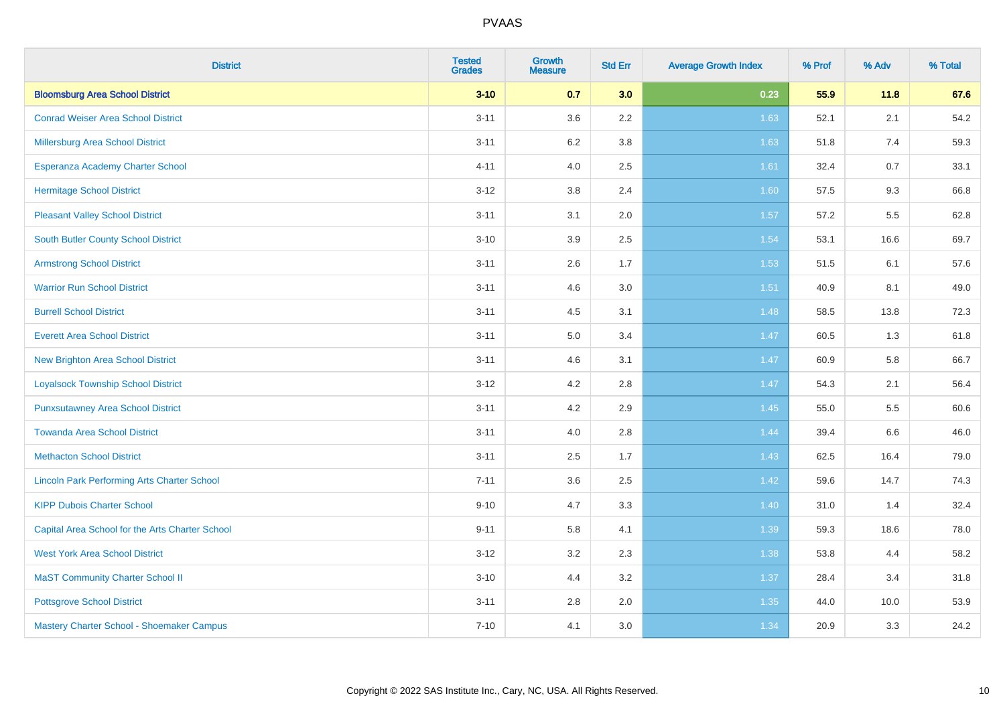| <b>District</b>                                    | <b>Tested</b><br><b>Grades</b> | <b>Growth</b><br><b>Measure</b> | <b>Std Err</b> | <b>Average Growth Index</b> | % Prof | % Adv | % Total |
|----------------------------------------------------|--------------------------------|---------------------------------|----------------|-----------------------------|--------|-------|---------|
| <b>Bloomsburg Area School District</b>             | $3 - 10$                       | 0.7                             | 3.0            | 0.23                        | 55.9   | 11.8  | 67.6    |
| <b>Conrad Weiser Area School District</b>          | $3 - 11$                       | 3.6                             | $2.2\,$        | 1.63                        | 52.1   | 2.1   | 54.2    |
| Millersburg Area School District                   | $3 - 11$                       | $6.2\,$                         | 3.8            | 1.63                        | 51.8   | 7.4   | 59.3    |
| Esperanza Academy Charter School                   | $4 - 11$                       | 4.0                             | 2.5            | 1.61                        | 32.4   | 0.7   | 33.1    |
| <b>Hermitage School District</b>                   | $3 - 12$                       | 3.8                             | 2.4            | 1.60                        | 57.5   | 9.3   | 66.8    |
| <b>Pleasant Valley School District</b>             | $3 - 11$                       | 3.1                             | 2.0            | 1.57                        | 57.2   | 5.5   | 62.8    |
| <b>South Butler County School District</b>         | $3 - 10$                       | 3.9                             | 2.5            | 1.54                        | 53.1   | 16.6  | 69.7    |
| <b>Armstrong School District</b>                   | $3 - 11$                       | 2.6                             | 1.7            | 1.53                        | 51.5   | 6.1   | 57.6    |
| <b>Warrior Run School District</b>                 | $3 - 11$                       | 4.6                             | 3.0            | 1.51                        | 40.9   | 8.1   | 49.0    |
| <b>Burrell School District</b>                     | $3 - 11$                       | 4.5                             | 3.1            | 1.48                        | 58.5   | 13.8  | 72.3    |
| <b>Everett Area School District</b>                | $3 - 11$                       | 5.0                             | 3.4            | 1.47                        | 60.5   | 1.3   | 61.8    |
| <b>New Brighton Area School District</b>           | $3 - 11$                       | 4.6                             | 3.1            | $1.47$                      | 60.9   | 5.8   | 66.7    |
| <b>Loyalsock Township School District</b>          | $3 - 12$                       | 4.2                             | 2.8            | 1.47                        | 54.3   | 2.1   | 56.4    |
| <b>Punxsutawney Area School District</b>           | $3 - 11$                       | 4.2                             | 2.9            | 1.45                        | 55.0   | 5.5   | 60.6    |
| <b>Towanda Area School District</b>                | $3 - 11$                       | 4.0                             | 2.8            | 1.44                        | 39.4   | 6.6   | 46.0    |
| <b>Methacton School District</b>                   | $3 - 11$                       | 2.5                             | 1.7            | 1.43                        | 62.5   | 16.4  | 79.0    |
| <b>Lincoln Park Performing Arts Charter School</b> | $7 - 11$                       | 3.6                             | 2.5            | 1.42                        | 59.6   | 14.7  | 74.3    |
| <b>KIPP Dubois Charter School</b>                  | $9 - 10$                       | 4.7                             | 3.3            | 1.40                        | 31.0   | 1.4   | 32.4    |
| Capital Area School for the Arts Charter School    | $9 - 11$                       | 5.8                             | 4.1            | 1.39                        | 59.3   | 18.6  | 78.0    |
| <b>West York Area School District</b>              | $3 - 12$                       | 3.2                             | 2.3            | 1.38                        | 53.8   | 4.4   | 58.2    |
| <b>MaST Community Charter School II</b>            | $3 - 10$                       | 4.4                             | 3.2            | 1.37                        | 28.4   | 3.4   | 31.8    |
| <b>Pottsgrove School District</b>                  | $3 - 11$                       | 2.8                             | 2.0            | 1.35                        | 44.0   | 10.0  | 53.9    |
| Mastery Charter School - Shoemaker Campus          | $7 - 10$                       | 4.1                             | 3.0            | 1.34                        | 20.9   | 3.3   | 24.2    |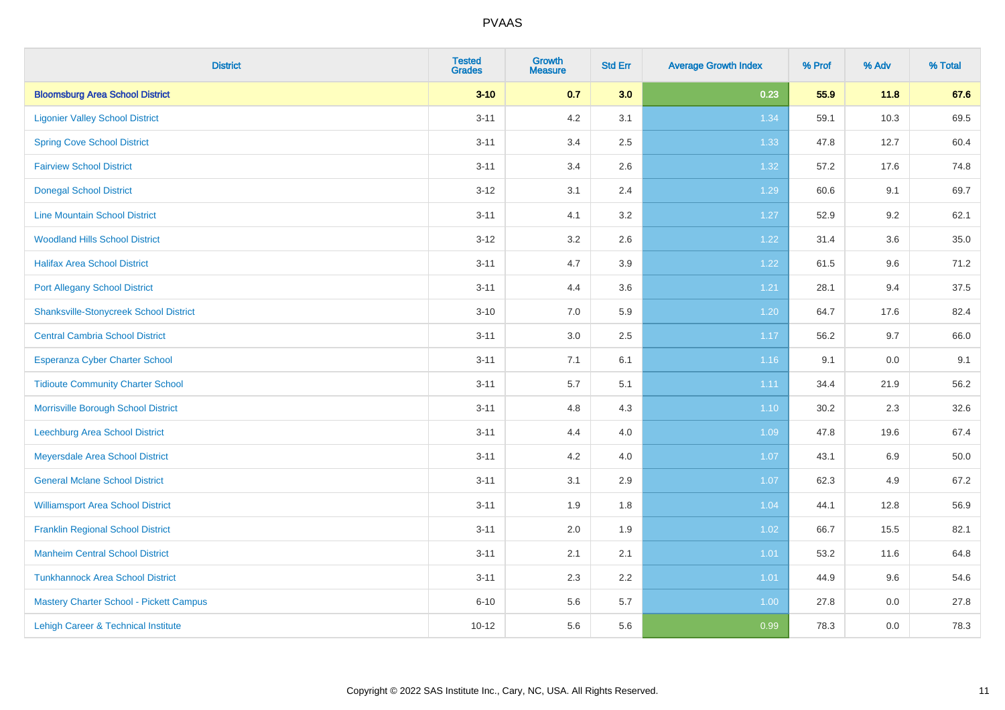| <b>District</b>                                | <b>Tested</b><br><b>Grades</b> | <b>Growth</b><br><b>Measure</b> | <b>Std Err</b> | <b>Average Growth Index</b> | % Prof | % Adv   | % Total |
|------------------------------------------------|--------------------------------|---------------------------------|----------------|-----------------------------|--------|---------|---------|
| <b>Bloomsburg Area School District</b>         | $3 - 10$                       | 0.7                             | 3.0            | 0.23                        | 55.9   | 11.8    | 67.6    |
| <b>Ligonier Valley School District</b>         | $3 - 11$                       | 4.2                             | 3.1            | 1.34                        | 59.1   | 10.3    | 69.5    |
| <b>Spring Cove School District</b>             | $3 - 11$                       | 3.4                             | 2.5            | 1.33                        | 47.8   | 12.7    | 60.4    |
| <b>Fairview School District</b>                | $3 - 11$                       | 3.4                             | 2.6            | 1.32                        | 57.2   | 17.6    | 74.8    |
| <b>Donegal School District</b>                 | $3 - 12$                       | 3.1                             | 2.4            | 1.29                        | 60.6   | 9.1     | 69.7    |
| <b>Line Mountain School District</b>           | $3 - 11$                       | 4.1                             | 3.2            | 1.27                        | 52.9   | 9.2     | 62.1    |
| <b>Woodland Hills School District</b>          | $3 - 12$                       | 3.2                             | 2.6            | 1.22                        | 31.4   | 3.6     | 35.0    |
| <b>Halifax Area School District</b>            | $3 - 11$                       | 4.7                             | 3.9            | 1.22                        | 61.5   | 9.6     | 71.2    |
| <b>Port Allegany School District</b>           | $3 - 11$                       | 4.4                             | 3.6            | 1.21                        | 28.1   | 9.4     | 37.5    |
| <b>Shanksville-Stonycreek School District</b>  | $3 - 10$                       | 7.0                             | 5.9            | 1.20                        | 64.7   | 17.6    | 82.4    |
| <b>Central Cambria School District</b>         | $3 - 11$                       | 3.0                             | 2.5            | 1.17                        | 56.2   | 9.7     | 66.0    |
| Esperanza Cyber Charter School                 | $3 - 11$                       | 7.1                             | 6.1            | 1.16                        | 9.1    | 0.0     | 9.1     |
| <b>Tidioute Community Charter School</b>       | $3 - 11$                       | 5.7                             | 5.1            | 1.11                        | 34.4   | 21.9    | 56.2    |
| Morrisville Borough School District            | $3 - 11$                       | 4.8                             | 4.3            | 1.10                        | 30.2   | 2.3     | 32.6    |
| Leechburg Area School District                 | $3 - 11$                       | 4.4                             | 4.0            | 1.09                        | 47.8   | 19.6    | 67.4    |
| Meyersdale Area School District                | $3 - 11$                       | 4.2                             | 4.0            | 1.07                        | 43.1   | $6.9\,$ | 50.0    |
| <b>General Mclane School District</b>          | $3 - 11$                       | 3.1                             | 2.9            | 1.07                        | 62.3   | 4.9     | 67.2    |
| <b>Williamsport Area School District</b>       | $3 - 11$                       | 1.9                             | 1.8            | 1.04                        | 44.1   | 12.8    | 56.9    |
| <b>Franklin Regional School District</b>       | $3 - 11$                       | 2.0                             | 1.9            | 1.02                        | 66.7   | 15.5    | 82.1    |
| <b>Manheim Central School District</b>         | $3 - 11$                       | 2.1                             | 2.1            | $1.01$                      | 53.2   | 11.6    | 64.8    |
| <b>Tunkhannock Area School District</b>        | $3 - 11$                       | 2.3                             | 2.2            | 1.01                        | 44.9   | 9.6     | 54.6    |
| <b>Mastery Charter School - Pickett Campus</b> | $6 - 10$                       | 5.6                             | 5.7            | 1.00                        | 27.8   | 0.0     | 27.8    |
| Lehigh Career & Technical Institute            | $10 - 12$                      | 5.6                             | 5.6            | 0.99                        | 78.3   | 0.0     | 78.3    |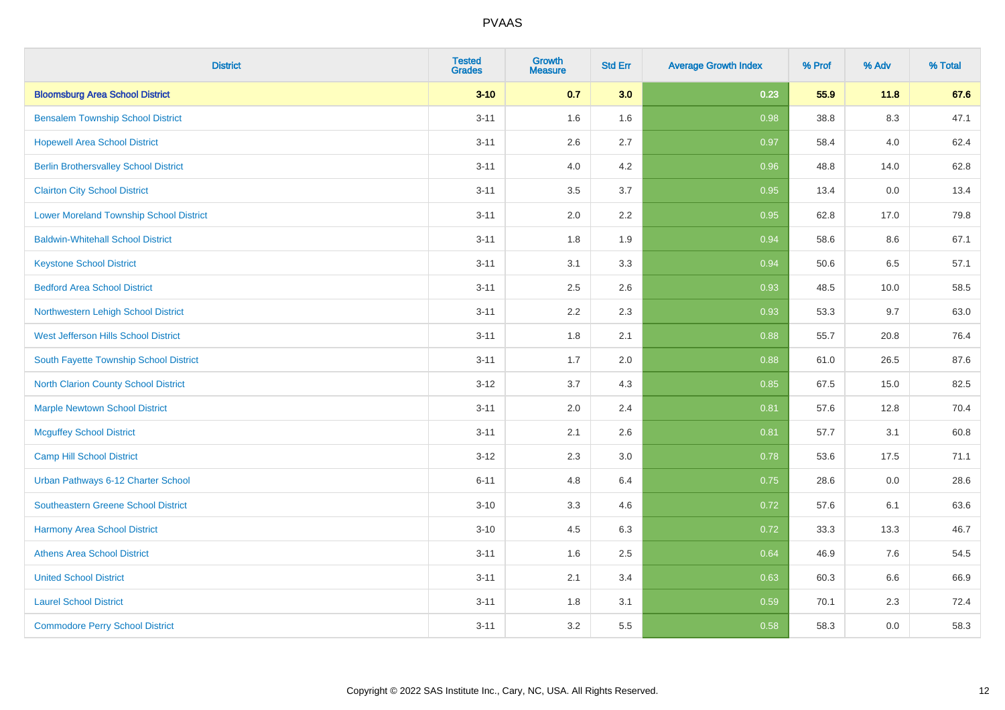| <b>District</b>                              | <b>Tested</b><br><b>Grades</b> | <b>Growth</b><br><b>Measure</b> | <b>Std Err</b> | <b>Average Growth Index</b> | % Prof | % Adv   | % Total |
|----------------------------------------------|--------------------------------|---------------------------------|----------------|-----------------------------|--------|---------|---------|
| <b>Bloomsburg Area School District</b>       | $3 - 10$                       | 0.7                             | 3.0            | 0.23                        | 55.9   | 11.8    | 67.6    |
| <b>Bensalem Township School District</b>     | $3 - 11$                       | 1.6                             | 1.6            | 0.98                        | 38.8   | $8.3\,$ | 47.1    |
| <b>Hopewell Area School District</b>         | $3 - 11$                       | 2.6                             | 2.7            | 0.97                        | 58.4   | 4.0     | 62.4    |
| <b>Berlin Brothersvalley School District</b> | $3 - 11$                       | 4.0                             | 4.2            | 0.96                        | 48.8   | 14.0    | 62.8    |
| <b>Clairton City School District</b>         | $3 - 11$                       | 3.5                             | 3.7            | 0.95                        | 13.4   | 0.0     | 13.4    |
| Lower Moreland Township School District      | $3 - 11$                       | 2.0                             | 2.2            | 0.95                        | 62.8   | 17.0    | 79.8    |
| <b>Baldwin-Whitehall School District</b>     | $3 - 11$                       | 1.8                             | 1.9            | 0.94                        | 58.6   | 8.6     | 67.1    |
| <b>Keystone School District</b>              | $3 - 11$                       | 3.1                             | 3.3            | 0.94                        | 50.6   | 6.5     | 57.1    |
| <b>Bedford Area School District</b>          | $3 - 11$                       | 2.5                             | 2.6            | 0.93                        | 48.5   | 10.0    | 58.5    |
| Northwestern Lehigh School District          | $3 - 11$                       | 2.2                             | 2.3            | 0.93                        | 53.3   | 9.7     | 63.0    |
| <b>West Jefferson Hills School District</b>  | $3 - 11$                       | 1.8                             | 2.1            | 0.88                        | 55.7   | 20.8    | 76.4    |
| South Fayette Township School District       | $3 - 11$                       | 1.7                             | 2.0            | 0.88                        | 61.0   | 26.5    | 87.6    |
| <b>North Clarion County School District</b>  | $3-12$                         | 3.7                             | 4.3            | 0.85                        | 67.5   | 15.0    | 82.5    |
| <b>Marple Newtown School District</b>        | $3 - 11$                       | 2.0                             | 2.4            | 0.81                        | 57.6   | 12.8    | 70.4    |
| <b>Mcguffey School District</b>              | $3 - 11$                       | 2.1                             | 2.6            | 0.81                        | 57.7   | 3.1     | 60.8    |
| Camp Hill School District                    | $3-12$                         | 2.3                             | 3.0            | 0.78                        | 53.6   | 17.5    | 71.1    |
| Urban Pathways 6-12 Charter School           | $6 - 11$                       | 4.8                             | 6.4            | 0.75                        | 28.6   | 0.0     | 28.6    |
| Southeastern Greene School District          | $3 - 10$                       | 3.3                             | 4.6            | 0.72                        | 57.6   | 6.1     | 63.6    |
| <b>Harmony Area School District</b>          | $3 - 10$                       | 4.5                             | 6.3            | 0.72                        | 33.3   | 13.3    | 46.7    |
| <b>Athens Area School District</b>           | $3 - 11$                       | 1.6                             | 2.5            | 0.64                        | 46.9   | 7.6     | 54.5    |
| <b>United School District</b>                | $3 - 11$                       | 2.1                             | 3.4            | 0.63                        | 60.3   | 6.6     | 66.9    |
| <b>Laurel School District</b>                | $3 - 11$                       | 1.8                             | 3.1            | 0.59                        | 70.1   | 2.3     | 72.4    |
| <b>Commodore Perry School District</b>       | $3 - 11$                       | 3.2                             | 5.5            | 0.58                        | 58.3   | 0.0     | 58.3    |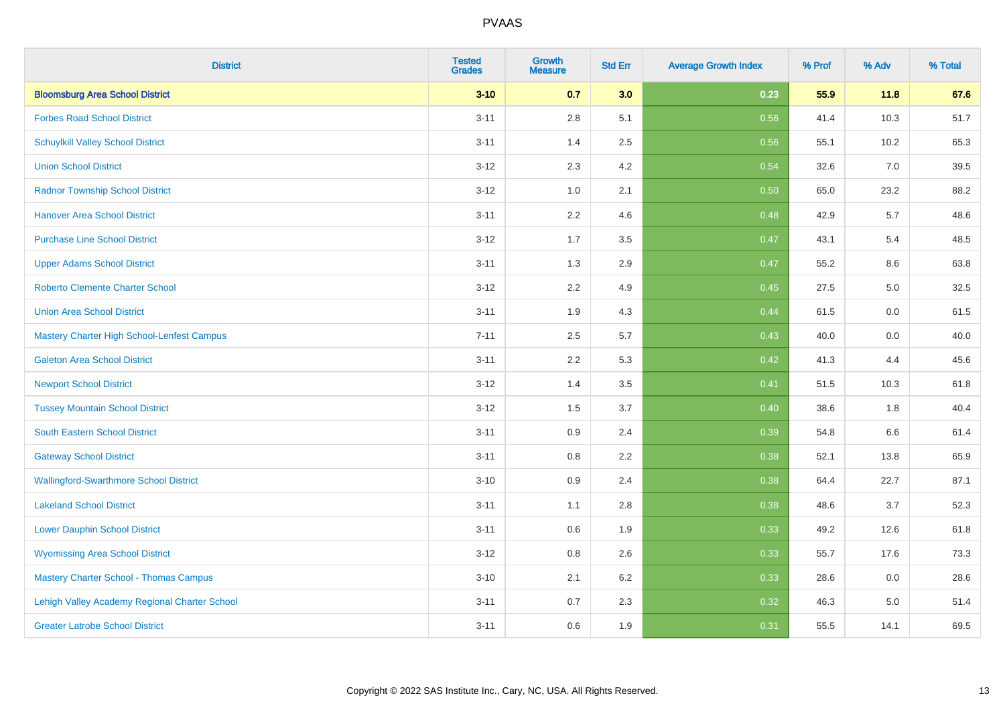| <b>District</b>                               | <b>Tested</b><br><b>Grades</b> | <b>Growth</b><br><b>Measure</b> | <b>Std Err</b> | <b>Average Growth Index</b> | % Prof | % Adv | % Total |
|-----------------------------------------------|--------------------------------|---------------------------------|----------------|-----------------------------|--------|-------|---------|
| <b>Bloomsburg Area School District</b>        | $3 - 10$                       | 0.7                             | 3.0            | 0.23                        | 55.9   | 11.8  | 67.6    |
| <b>Forbes Road School District</b>            | $3 - 11$                       | $2.8\,$                         | 5.1            | 0.56                        | 41.4   | 10.3  | 51.7    |
| <b>Schuylkill Valley School District</b>      | $3 - 11$                       | 1.4                             | 2.5            | 0.56                        | 55.1   | 10.2  | 65.3    |
| <b>Union School District</b>                  | $3 - 12$                       | 2.3                             | 4.2            | 0.54                        | 32.6   | 7.0   | 39.5    |
| <b>Radnor Township School District</b>        | $3 - 12$                       | 1.0                             | 2.1            | 0.50                        | 65.0   | 23.2  | 88.2    |
| <b>Hanover Area School District</b>           | $3 - 11$                       | 2.2                             | 4.6            | 0.48                        | 42.9   | 5.7   | 48.6    |
| <b>Purchase Line School District</b>          | $3 - 12$                       | 1.7                             | 3.5            | 0.47                        | 43.1   | 5.4   | 48.5    |
| <b>Upper Adams School District</b>            | $3 - 11$                       | 1.3                             | 2.9            | 0.47                        | 55.2   | 8.6   | 63.8    |
| <b>Roberto Clemente Charter School</b>        | $3 - 12$                       | 2.2                             | 4.9            | 0.45                        | 27.5   | 5.0   | 32.5    |
| <b>Union Area School District</b>             | $3 - 11$                       | 1.9                             | 4.3            | 0.44                        | 61.5   | 0.0   | 61.5    |
| Mastery Charter High School-Lenfest Campus    | $7 - 11$                       | 2.5                             | 5.7            | 0.43                        | 40.0   | 0.0   | 40.0    |
| <b>Galeton Area School District</b>           | $3 - 11$                       | 2.2                             | 5.3            | 0.42                        | 41.3   | 4.4   | 45.6    |
| <b>Newport School District</b>                | $3 - 12$                       | 1.4                             | 3.5            | 0.41                        | 51.5   | 10.3  | 61.8    |
| <b>Tussey Mountain School District</b>        | $3 - 12$                       | 1.5                             | 3.7            | 0.40                        | 38.6   | 1.8   | 40.4    |
| South Eastern School District                 | $3 - 11$                       | 0.9                             | 2.4            | 0.39                        | 54.8   | 6.6   | 61.4    |
| <b>Gateway School District</b>                | $3 - 11$                       | 0.8                             | 2.2            | 0.38                        | 52.1   | 13.8  | 65.9    |
| <b>Wallingford-Swarthmore School District</b> | $3 - 10$                       | 0.9                             | 2.4            | 0.38                        | 64.4   | 22.7  | 87.1    |
| <b>Lakeland School District</b>               | $3 - 11$                       | 1.1                             | 2.8            | 0.38                        | 48.6   | 3.7   | 52.3    |
| <b>Lower Dauphin School District</b>          | $3 - 11$                       | 0.6                             | 1.9            | 0.33                        | 49.2   | 12.6  | 61.8    |
| <b>Wyomissing Area School District</b>        | $3 - 12$                       | 0.8                             | 2.6            | 0.33                        | 55.7   | 17.6  | 73.3    |
| <b>Mastery Charter School - Thomas Campus</b> | $3 - 10$                       | 2.1                             | $6.2\,$        | 0.33                        | 28.6   | 0.0   | 28.6    |
| Lehigh Valley Academy Regional Charter School | $3 - 11$                       | 0.7                             | 2.3            | 0.32                        | 46.3   | 5.0   | 51.4    |
| <b>Greater Latrobe School District</b>        | $3 - 11$                       | 0.6                             | 1.9            | 0.31                        | 55.5   | 14.1  | 69.5    |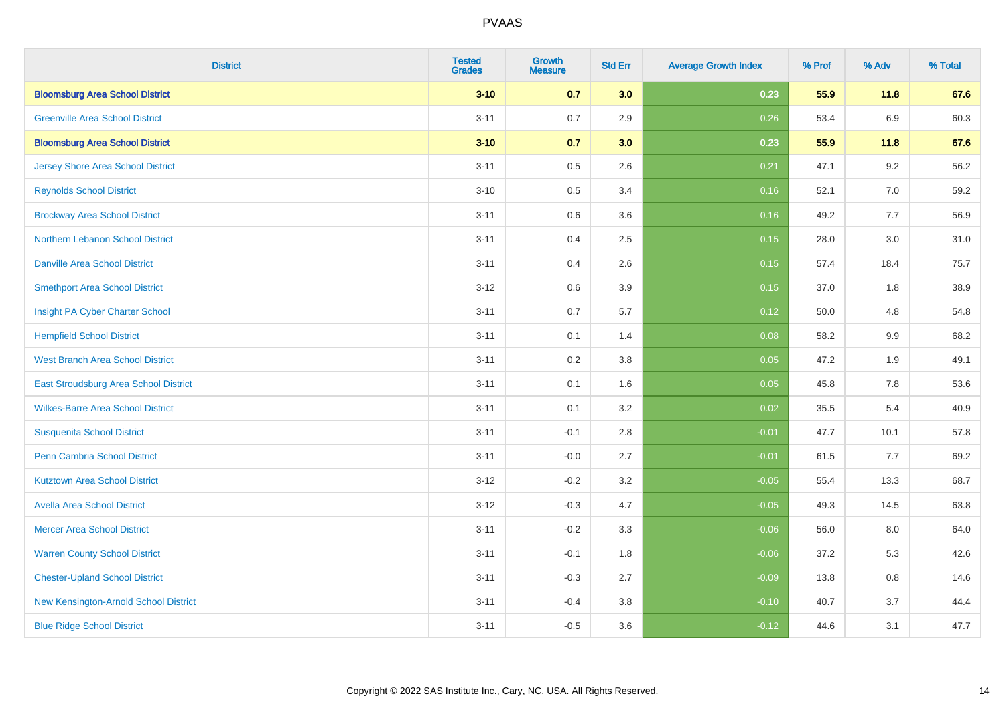| <b>District</b>                          | <b>Tested</b><br><b>Grades</b> | Growth<br><b>Measure</b> | <b>Std Err</b> | <b>Average Growth Index</b> | % Prof | % Adv   | % Total |
|------------------------------------------|--------------------------------|--------------------------|----------------|-----------------------------|--------|---------|---------|
| <b>Bloomsburg Area School District</b>   | $3 - 10$                       | 0.7                      | 3.0            | 0.23                        | 55.9   | 11.8    | 67.6    |
| <b>Greenville Area School District</b>   | $3 - 11$                       | 0.7                      | 2.9            | 0.26                        | 53.4   | 6.9     | 60.3    |
| <b>Bloomsburg Area School District</b>   | $3 - 10$                       | 0.7                      | 3.0            | 0.23                        | 55.9   | 11.8    | 67.6    |
| <b>Jersey Shore Area School District</b> | $3 - 11$                       | 0.5                      | 2.6            | 0.21                        | 47.1   | 9.2     | 56.2    |
| <b>Reynolds School District</b>          | $3 - 10$                       | 0.5                      | 3.4            | 0.16                        | 52.1   | 7.0     | 59.2    |
| <b>Brockway Area School District</b>     | $3 - 11$                       | 0.6                      | 3.6            | 0.16                        | 49.2   | 7.7     | 56.9    |
| Northern Lebanon School District         | $3 - 11$                       | 0.4                      | 2.5            | 0.15                        | 28.0   | 3.0     | 31.0    |
| <b>Danville Area School District</b>     | $3 - 11$                       | 0.4                      | 2.6            | 0.15                        | 57.4   | 18.4    | 75.7    |
| <b>Smethport Area School District</b>    | $3 - 12$                       | 0.6                      | 3.9            | 0.15                        | 37.0   | 1.8     | 38.9    |
| Insight PA Cyber Charter School          | $3 - 11$                       | 0.7                      | 5.7            | 0.12                        | 50.0   | 4.8     | 54.8    |
| <b>Hempfield School District</b>         | $3 - 11$                       | 0.1                      | 1.4            | 0.08                        | 58.2   | 9.9     | 68.2    |
| <b>West Branch Area School District</b>  | $3 - 11$                       | 0.2                      | 3.8            | 0.05                        | 47.2   | 1.9     | 49.1    |
| East Stroudsburg Area School District    | $3 - 11$                       | 0.1                      | 1.6            | 0.05                        | 45.8   | $7.8\,$ | 53.6    |
| <b>Wilkes-Barre Area School District</b> | $3 - 11$                       | 0.1                      | 3.2            | 0.02                        | 35.5   | $5.4$   | 40.9    |
| <b>Susquenita School District</b>        | $3 - 11$                       | $-0.1$                   | 2.8            | $-0.01$                     | 47.7   | 10.1    | 57.8    |
| Penn Cambria School District             | $3 - 11$                       | $-0.0$                   | 2.7            | $-0.01$                     | 61.5   | 7.7     | 69.2    |
| <b>Kutztown Area School District</b>     | $3 - 12$                       | $-0.2$                   | 3.2            | $-0.05$                     | 55.4   | 13.3    | 68.7    |
| <b>Avella Area School District</b>       | $3 - 12$                       | $-0.3$                   | 4.7            | $-0.05$                     | 49.3   | 14.5    | 63.8    |
| <b>Mercer Area School District</b>       | $3 - 11$                       | $-0.2$                   | 3.3            | $-0.06$                     | 56.0   | 8.0     | 64.0    |
| <b>Warren County School District</b>     | $3 - 11$                       | $-0.1$                   | 1.8            | $-0.06$                     | 37.2   | 5.3     | 42.6    |
| <b>Chester-Upland School District</b>    | $3 - 11$                       | $-0.3$                   | 2.7            | $-0.09$                     | 13.8   | 0.8     | 14.6    |
| New Kensington-Arnold School District    | $3 - 11$                       | $-0.4$                   | 3.8            | $-0.10$                     | 40.7   | 3.7     | 44.4    |
| <b>Blue Ridge School District</b>        | $3 - 11$                       | $-0.5$                   | 3.6            | $-0.12$                     | 44.6   | 3.1     | 47.7    |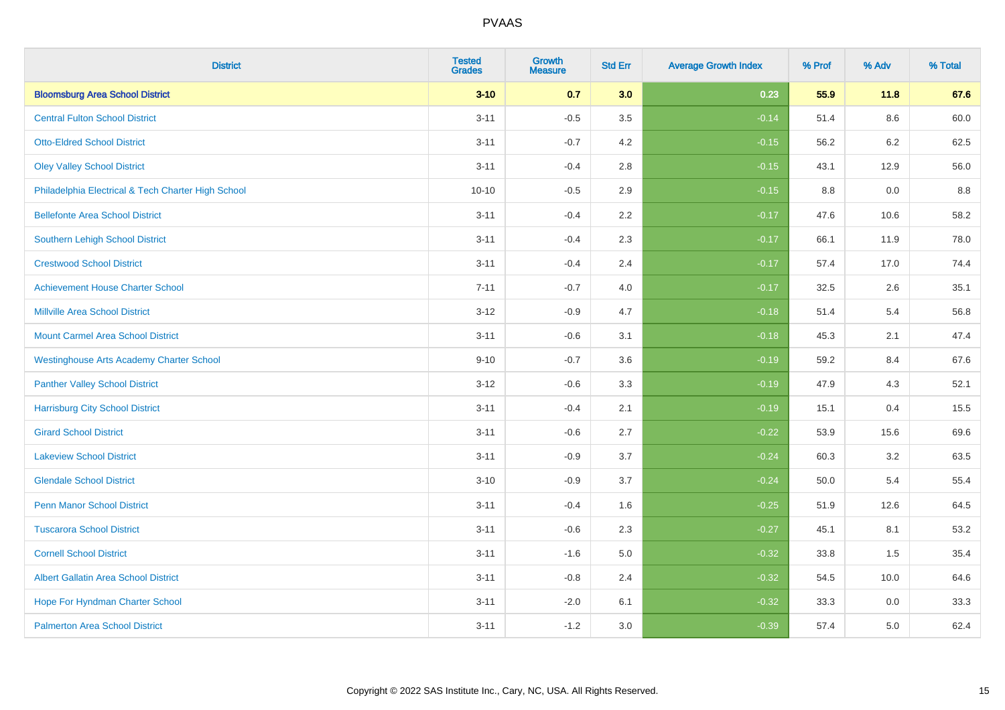| <b>District</b>                                    | <b>Tested</b><br><b>Grades</b> | <b>Growth</b><br><b>Measure</b> | <b>Std Err</b> | <b>Average Growth Index</b> | % Prof | % Adv   | % Total |
|----------------------------------------------------|--------------------------------|---------------------------------|----------------|-----------------------------|--------|---------|---------|
| <b>Bloomsburg Area School District</b>             | $3 - 10$                       | 0.7                             | 3.0            | 0.23                        | 55.9   | 11.8    | 67.6    |
| <b>Central Fulton School District</b>              | $3 - 11$                       | $-0.5$                          | 3.5            | $-0.14$                     | 51.4   | $8.6\,$ | 60.0    |
| <b>Otto-Eldred School District</b>                 | $3 - 11$                       | $-0.7$                          | 4.2            | $-0.15$                     | 56.2   | 6.2     | 62.5    |
| <b>Oley Valley School District</b>                 | $3 - 11$                       | $-0.4$                          | 2.8            | $-0.15$                     | 43.1   | 12.9    | 56.0    |
| Philadelphia Electrical & Tech Charter High School | $10 - 10$                      | $-0.5$                          | 2.9            | $-0.15$                     | 8.8    | 0.0     | 8.8     |
| <b>Bellefonte Area School District</b>             | $3 - 11$                       | $-0.4$                          | 2.2            | $-0.17$                     | 47.6   | 10.6    | 58.2    |
| Southern Lehigh School District                    | $3 - 11$                       | $-0.4$                          | 2.3            | $-0.17$                     | 66.1   | 11.9    | 78.0    |
| <b>Crestwood School District</b>                   | $3 - 11$                       | $-0.4$                          | 2.4            | $-0.17$                     | 57.4   | 17.0    | 74.4    |
| <b>Achievement House Charter School</b>            | $7 - 11$                       | $-0.7$                          | 4.0            | $-0.17$                     | 32.5   | 2.6     | 35.1    |
| <b>Millville Area School District</b>              | $3 - 12$                       | $-0.9$                          | 4.7            | $-0.18$                     | 51.4   | 5.4     | 56.8    |
| <b>Mount Carmel Area School District</b>           | $3 - 11$                       | $-0.6$                          | 3.1            | $-0.18$                     | 45.3   | 2.1     | 47.4    |
| <b>Westinghouse Arts Academy Charter School</b>    | $9 - 10$                       | $-0.7$                          | 3.6            | $-0.19$                     | 59.2   | 8.4     | 67.6    |
| <b>Panther Valley School District</b>              | $3 - 12$                       | $-0.6$                          | 3.3            | $-0.19$                     | 47.9   | 4.3     | 52.1    |
| <b>Harrisburg City School District</b>             | $3 - 11$                       | $-0.4$                          | 2.1            | $-0.19$                     | 15.1   | 0.4     | 15.5    |
| <b>Girard School District</b>                      | $3 - 11$                       | $-0.6$                          | 2.7            | $-0.22$                     | 53.9   | 15.6    | 69.6    |
| <b>Lakeview School District</b>                    | $3 - 11$                       | $-0.9$                          | 3.7            | $-0.24$                     | 60.3   | 3.2     | 63.5    |
| <b>Glendale School District</b>                    | $3 - 10$                       | $-0.9$                          | 3.7            | $-0.24$                     | 50.0   | 5.4     | 55.4    |
| <b>Penn Manor School District</b>                  | $3 - 11$                       | $-0.4$                          | 1.6            | $-0.25$                     | 51.9   | 12.6    | 64.5    |
| <b>Tuscarora School District</b>                   | $3 - 11$                       | $-0.6$                          | 2.3            | $-0.27$                     | 45.1   | 8.1     | 53.2    |
| <b>Cornell School District</b>                     | $3 - 11$                       | $-1.6$                          | 5.0            | $-0.32$                     | 33.8   | 1.5     | 35.4    |
| <b>Albert Gallatin Area School District</b>        | $3 - 11$                       | $-0.8$                          | 2.4            | $-0.32$                     | 54.5   | 10.0    | 64.6    |
| Hope For Hyndman Charter School                    | $3 - 11$                       | $-2.0$                          | 6.1            | $-0.32$                     | 33.3   | 0.0     | 33.3    |
| <b>Palmerton Area School District</b>              | $3 - 11$                       | $-1.2$                          | 3.0            | $-0.39$                     | 57.4   | 5.0     | 62.4    |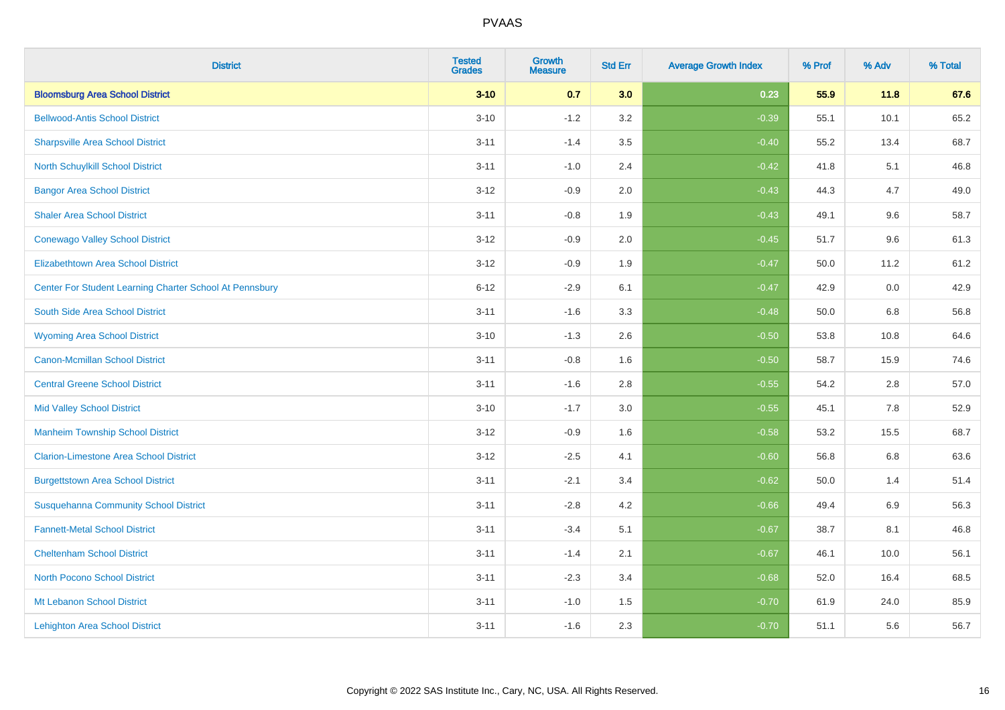| <b>District</b>                                         | <b>Tested</b><br><b>Grades</b> | <b>Growth</b><br><b>Measure</b> | <b>Std Err</b> | <b>Average Growth Index</b> | % Prof | % Adv   | % Total |
|---------------------------------------------------------|--------------------------------|---------------------------------|----------------|-----------------------------|--------|---------|---------|
| <b>Bloomsburg Area School District</b>                  | $3 - 10$                       | 0.7                             | 3.0            | 0.23                        | 55.9   | 11.8    | 67.6    |
| <b>Bellwood-Antis School District</b>                   | $3 - 10$                       | $-1.2$                          | 3.2            | $-0.39$                     | 55.1   | 10.1    | 65.2    |
| <b>Sharpsville Area School District</b>                 | $3 - 11$                       | $-1.4$                          | 3.5            | $-0.40$                     | 55.2   | 13.4    | 68.7    |
| North Schuylkill School District                        | $3 - 11$                       | $-1.0$                          | 2.4            | $-0.42$                     | 41.8   | 5.1     | 46.8    |
| <b>Bangor Area School District</b>                      | $3 - 12$                       | $-0.9$                          | 2.0            | $-0.43$                     | 44.3   | 4.7     | 49.0    |
| <b>Shaler Area School District</b>                      | $3 - 11$                       | $-0.8$                          | 1.9            | $-0.43$                     | 49.1   | 9.6     | 58.7    |
| <b>Conewago Valley School District</b>                  | $3-12$                         | $-0.9$                          | 2.0            | $-0.45$                     | 51.7   | 9.6     | 61.3    |
| <b>Elizabethtown Area School District</b>               | $3 - 12$                       | $-0.9$                          | 1.9            | $-0.47$                     | 50.0   | 11.2    | 61.2    |
| Center For Student Learning Charter School At Pennsbury | $6 - 12$                       | $-2.9$                          | 6.1            | $-0.47$                     | 42.9   | 0.0     | 42.9    |
| South Side Area School District                         | $3 - 11$                       | $-1.6$                          | 3.3            | $-0.48$                     | 50.0   | 6.8     | 56.8    |
| <b>Wyoming Area School District</b>                     | $3 - 10$                       | $-1.3$                          | 2.6            | $-0.50$                     | 53.8   | 10.8    | 64.6    |
| <b>Canon-Mcmillan School District</b>                   | $3 - 11$                       | $-0.8$                          | 1.6            | $-0.50$                     | 58.7   | 15.9    | 74.6    |
| <b>Central Greene School District</b>                   | $3 - 11$                       | $-1.6$                          | 2.8            | $-0.55$                     | 54.2   | 2.8     | 57.0    |
| <b>Mid Valley School District</b>                       | $3 - 10$                       | $-1.7$                          | 3.0            | $-0.55$                     | 45.1   | $7.8\,$ | 52.9    |
| <b>Manheim Township School District</b>                 | $3 - 12$                       | $-0.9$                          | 1.6            | $-0.58$                     | 53.2   | 15.5    | 68.7    |
| <b>Clarion-Limestone Area School District</b>           | $3 - 12$                       | $-2.5$                          | 4.1            | $-0.60$                     | 56.8   | 6.8     | 63.6    |
| <b>Burgettstown Area School District</b>                | $3 - 11$                       | $-2.1$                          | 3.4            | $-0.62$                     | 50.0   | 1.4     | 51.4    |
| <b>Susquehanna Community School District</b>            | $3 - 11$                       | $-2.8$                          | 4.2            | $-0.66$                     | 49.4   | $6.9\,$ | 56.3    |
| <b>Fannett-Metal School District</b>                    | $3 - 11$                       | $-3.4$                          | 5.1            | $-0.67$                     | 38.7   | 8.1     | 46.8    |
| <b>Cheltenham School District</b>                       | $3 - 11$                       | $-1.4$                          | 2.1            | $-0.67$                     | 46.1   | 10.0    | 56.1    |
| <b>North Pocono School District</b>                     | $3 - 11$                       | $-2.3$                          | 3.4            | $-0.68$                     | 52.0   | 16.4    | 68.5    |
| Mt Lebanon School District                              | $3 - 11$                       | $-1.0$                          | 1.5            | $-0.70$                     | 61.9   | 24.0    | 85.9    |
| <b>Lehighton Area School District</b>                   | $3 - 11$                       | $-1.6$                          | 2.3            | $-0.70$                     | 51.1   | 5.6     | 56.7    |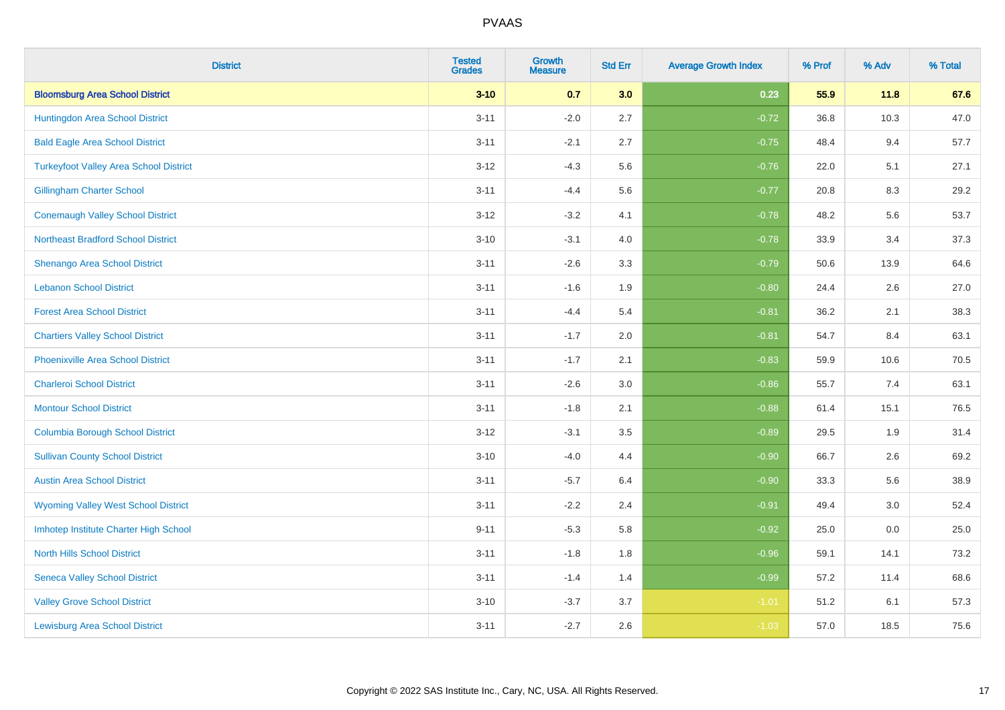| <b>District</b>                               | <b>Tested</b><br><b>Grades</b> | <b>Growth</b><br><b>Measure</b> | <b>Std Err</b> | <b>Average Growth Index</b> | % Prof | % Adv | % Total |
|-----------------------------------------------|--------------------------------|---------------------------------|----------------|-----------------------------|--------|-------|---------|
| <b>Bloomsburg Area School District</b>        | $3 - 10$                       | 0.7                             | 3.0            | 0.23                        | 55.9   | 11.8  | 67.6    |
| Huntingdon Area School District               | $3 - 11$                       | $-2.0$                          | 2.7            | $-0.72$                     | 36.8   | 10.3  | 47.0    |
| <b>Bald Eagle Area School District</b>        | $3 - 11$                       | $-2.1$                          | 2.7            | $-0.75$                     | 48.4   | 9.4   | 57.7    |
| <b>Turkeyfoot Valley Area School District</b> | $3 - 12$                       | $-4.3$                          | 5.6            | $-0.76$                     | 22.0   | 5.1   | 27.1    |
| <b>Gillingham Charter School</b>              | $3 - 11$                       | $-4.4$                          | 5.6            | $-0.77$                     | 20.8   | 8.3   | 29.2    |
| <b>Conemaugh Valley School District</b>       | $3 - 12$                       | $-3.2$                          | 4.1            | $-0.78$                     | 48.2   | 5.6   | 53.7    |
| <b>Northeast Bradford School District</b>     | $3 - 10$                       | $-3.1$                          | 4.0            | $-0.78$                     | 33.9   | 3.4   | 37.3    |
| <b>Shenango Area School District</b>          | $3 - 11$                       | $-2.6$                          | 3.3            | $-0.79$                     | 50.6   | 13.9  | 64.6    |
| <b>Lebanon School District</b>                | $3 - 11$                       | $-1.6$                          | 1.9            | $-0.80$                     | 24.4   | 2.6   | 27.0    |
| <b>Forest Area School District</b>            | $3 - 11$                       | $-4.4$                          | 5.4            | $-0.81$                     | 36.2   | 2.1   | 38.3    |
| <b>Chartiers Valley School District</b>       | $3 - 11$                       | $-1.7$                          | 2.0            | $-0.81$                     | 54.7   | 8.4   | 63.1    |
| <b>Phoenixville Area School District</b>      | $3 - 11$                       | $-1.7$                          | 2.1            | $-0.83$                     | 59.9   | 10.6  | 70.5    |
| <b>Charleroi School District</b>              | $3 - 11$                       | $-2.6$                          | 3.0            | $-0.86$                     | 55.7   | $7.4$ | 63.1    |
| <b>Montour School District</b>                | $3 - 11$                       | $-1.8$                          | 2.1            | $-0.88$                     | 61.4   | 15.1  | 76.5    |
| <b>Columbia Borough School District</b>       | $3 - 12$                       | $-3.1$                          | 3.5            | $-0.89$                     | 29.5   | 1.9   | 31.4    |
| <b>Sullivan County School District</b>        | $3 - 10$                       | $-4.0$                          | 4.4            | $-0.90$                     | 66.7   | 2.6   | 69.2    |
| <b>Austin Area School District</b>            | $3 - 11$                       | $-5.7$                          | 6.4            | $-0.90$                     | 33.3   | 5.6   | 38.9    |
| <b>Wyoming Valley West School District</b>    | $3 - 11$                       | $-2.2$                          | 2.4            | $-0.91$                     | 49.4   | 3.0   | 52.4    |
| Imhotep Institute Charter High School         | $9 - 11$                       | $-5.3$                          | 5.8            | $-0.92$                     | 25.0   | 0.0   | 25.0    |
| <b>North Hills School District</b>            | $3 - 11$                       | $-1.8$                          | 1.8            | $-0.96$                     | 59.1   | 14.1  | 73.2    |
| <b>Seneca Valley School District</b>          | $3 - 11$                       | $-1.4$                          | 1.4            | $-0.99$                     | 57.2   | 11.4  | 68.6    |
| <b>Valley Grove School District</b>           | $3 - 10$                       | $-3.7$                          | 3.7            | $-1.01$                     | 51.2   | 6.1   | 57.3    |
| <b>Lewisburg Area School District</b>         | $3 - 11$                       | $-2.7$                          | 2.6            | $-1.03$                     | 57.0   | 18.5  | 75.6    |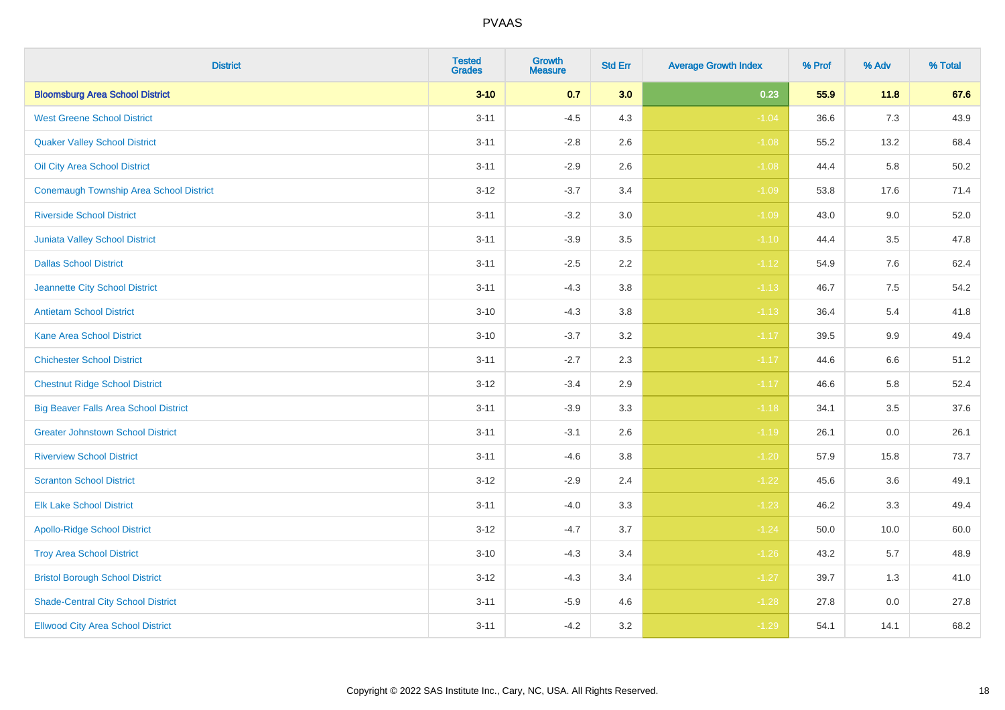| <b>District</b>                                | <b>Tested</b><br><b>Grades</b> | <b>Growth</b><br><b>Measure</b> | <b>Std Err</b> | <b>Average Growth Index</b> | % Prof | % Adv   | % Total |
|------------------------------------------------|--------------------------------|---------------------------------|----------------|-----------------------------|--------|---------|---------|
| <b>Bloomsburg Area School District</b>         | $3 - 10$                       | 0.7                             | 3.0            | 0.23                        | 55.9   | 11.8    | 67.6    |
| <b>West Greene School District</b>             | $3 - 11$                       | $-4.5$                          | 4.3            | $-1.04$                     | 36.6   | $7.3$   | 43.9    |
| <b>Quaker Valley School District</b>           | $3 - 11$                       | $-2.8$                          | 2.6            | $-1.08$                     | 55.2   | 13.2    | 68.4    |
| Oil City Area School District                  | $3 - 11$                       | $-2.9$                          | 2.6            | $-1.08$                     | 44.4   | 5.8     | 50.2    |
| <b>Conemaugh Township Area School District</b> | $3 - 12$                       | $-3.7$                          | 3.4            | $-1.09$                     | 53.8   | 17.6    | 71.4    |
| <b>Riverside School District</b>               | $3 - 11$                       | $-3.2$                          | 3.0            | $-1.09$                     | 43.0   | 9.0     | 52.0    |
| Juniata Valley School District                 | $3 - 11$                       | $-3.9$                          | 3.5            | $-1.10$                     | 44.4   | 3.5     | 47.8    |
| <b>Dallas School District</b>                  | $3 - 11$                       | $-2.5$                          | 2.2            | $-1.12$                     | 54.9   | 7.6     | 62.4    |
| Jeannette City School District                 | $3 - 11$                       | $-4.3$                          | 3.8            | $-1.13$                     | 46.7   | 7.5     | 54.2    |
| <b>Antietam School District</b>                | $3 - 10$                       | $-4.3$                          | 3.8            | $-1.13$                     | 36.4   | 5.4     | 41.8    |
| <b>Kane Area School District</b>               | $3 - 10$                       | $-3.7$                          | 3.2            | $-1.17$                     | 39.5   | 9.9     | 49.4    |
| <b>Chichester School District</b>              | $3 - 11$                       | $-2.7$                          | 2.3            | $-1.17$                     | 44.6   | $6.6\,$ | 51.2    |
| <b>Chestnut Ridge School District</b>          | $3 - 12$                       | $-3.4$                          | $2.9\,$        | $-1.17$                     | 46.6   | 5.8     | 52.4    |
| <b>Big Beaver Falls Area School District</b>   | $3 - 11$                       | $-3.9$                          | 3.3            | $-1.18$                     | 34.1   | 3.5     | 37.6    |
| <b>Greater Johnstown School District</b>       | $3 - 11$                       | $-3.1$                          | 2.6            | $-1.19$                     | 26.1   | 0.0     | 26.1    |
| <b>Riverview School District</b>               | $3 - 11$                       | $-4.6$                          | 3.8            | $-1.20$                     | 57.9   | 15.8    | 73.7    |
| <b>Scranton School District</b>                | $3 - 12$                       | $-2.9$                          | 2.4            | $-1.22$                     | 45.6   | 3.6     | 49.1    |
| <b>Elk Lake School District</b>                | $3 - 11$                       | $-4.0$                          | 3.3            | $-1.23$                     | 46.2   | 3.3     | 49.4    |
| <b>Apollo-Ridge School District</b>            | $3 - 12$                       | $-4.7$                          | 3.7            | $-1.24$                     | 50.0   | 10.0    | 60.0    |
| <b>Troy Area School District</b>               | $3 - 10$                       | $-4.3$                          | 3.4            | $-1.26$                     | 43.2   | 5.7     | 48.9    |
| <b>Bristol Borough School District</b>         | $3 - 12$                       | $-4.3$                          | 3.4            | $-1.27$                     | 39.7   | 1.3     | 41.0    |
| <b>Shade-Central City School District</b>      | $3 - 11$                       | $-5.9$                          | 4.6            | $-1.28$                     | 27.8   | 0.0     | 27.8    |
| <b>Ellwood City Area School District</b>       | $3 - 11$                       | $-4.2$                          | 3.2            | $-1.29$                     | 54.1   | 14.1    | 68.2    |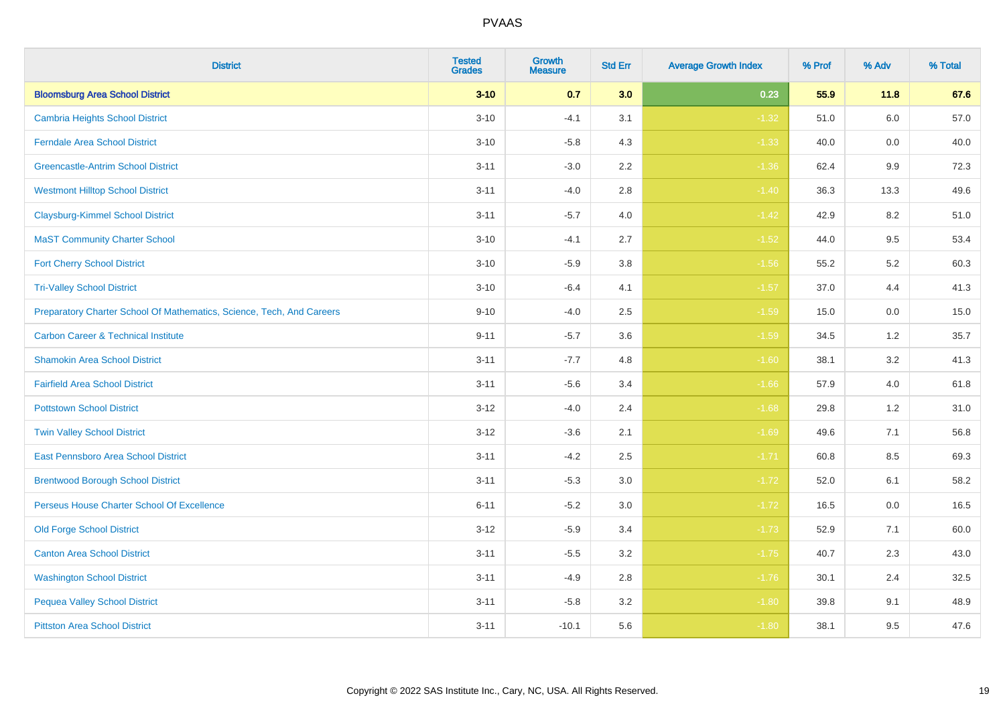| <b>District</b>                                                       | <b>Tested</b><br><b>Grades</b> | <b>Growth</b><br><b>Measure</b> | <b>Std Err</b> | <b>Average Growth Index</b> | % Prof | % Adv   | % Total |
|-----------------------------------------------------------------------|--------------------------------|---------------------------------|----------------|-----------------------------|--------|---------|---------|
| <b>Bloomsburg Area School District</b>                                | $3 - 10$                       | 0.7                             | 3.0            | 0.23                        | 55.9   | 11.8    | 67.6    |
| <b>Cambria Heights School District</b>                                | $3 - 10$                       | $-4.1$                          | 3.1            | $-1.32$                     | 51.0   | $6.0\,$ | 57.0    |
| <b>Ferndale Area School District</b>                                  | $3 - 10$                       | $-5.8$                          | 4.3            | $-1.33$                     | 40.0   | 0.0     | 40.0    |
| <b>Greencastle-Antrim School District</b>                             | $3 - 11$                       | $-3.0$                          | 2.2            | $-1.36$                     | 62.4   | $9.9\,$ | 72.3    |
| <b>Westmont Hilltop School District</b>                               | $3 - 11$                       | $-4.0$                          | 2.8            | $-1.40$                     | 36.3   | 13.3    | 49.6    |
| <b>Claysburg-Kimmel School District</b>                               | $3 - 11$                       | $-5.7$                          | 4.0            | $-1.42$                     | 42.9   | 8.2     | 51.0    |
| <b>MaST Community Charter School</b>                                  | $3 - 10$                       | $-4.1$                          | 2.7            | $-1.52$                     | 44.0   | 9.5     | 53.4    |
| <b>Fort Cherry School District</b>                                    | $3 - 10$                       | $-5.9$                          | 3.8            | $-1.56$                     | 55.2   | 5.2     | 60.3    |
| <b>Tri-Valley School District</b>                                     | $3 - 10$                       | $-6.4$                          | 4.1            | $-1.57$                     | 37.0   | 4.4     | 41.3    |
| Preparatory Charter School Of Mathematics, Science, Tech, And Careers | $9 - 10$                       | $-4.0$                          | 2.5            | $-1.59$                     | 15.0   | 0.0     | 15.0    |
| <b>Carbon Career &amp; Technical Institute</b>                        | $9 - 11$                       | $-5.7$                          | 3.6            | $-1.59$                     | 34.5   | 1.2     | 35.7    |
| <b>Shamokin Area School District</b>                                  | $3 - 11$                       | $-7.7$                          | 4.8            | $-1.60$                     | 38.1   | 3.2     | 41.3    |
| <b>Fairfield Area School District</b>                                 | $3 - 11$                       | $-5.6$                          | 3.4            | $-1.66$                     | 57.9   | 4.0     | 61.8    |
| <b>Pottstown School District</b>                                      | $3 - 12$                       | $-4.0$                          | 2.4            | $-1.68$                     | 29.8   | 1.2     | 31.0    |
| <b>Twin Valley School District</b>                                    | $3 - 12$                       | $-3.6$                          | 2.1            | $-1.69$                     | 49.6   | 7.1     | 56.8    |
| <b>East Pennsboro Area School District</b>                            | $3 - 11$                       | $-4.2$                          | 2.5            | $-1.71$                     | 60.8   | 8.5     | 69.3    |
| <b>Brentwood Borough School District</b>                              | $3 - 11$                       | $-5.3$                          | 3.0            | $-1.72$                     | 52.0   | 6.1     | 58.2    |
| Perseus House Charter School Of Excellence                            | $6 - 11$                       | $-5.2$                          | 3.0            | $-1.72$                     | 16.5   | 0.0     | 16.5    |
| <b>Old Forge School District</b>                                      | $3 - 12$                       | $-5.9$                          | 3.4            | $-1.73$                     | 52.9   | 7.1     | 60.0    |
| <b>Canton Area School District</b>                                    | $3 - 11$                       | $-5.5$                          | 3.2            | $-1.75$                     | 40.7   | 2.3     | 43.0    |
| <b>Washington School District</b>                                     | $3 - 11$                       | $-4.9$                          | 2.8            | $-1.76$                     | 30.1   | 2.4     | 32.5    |
| <b>Pequea Valley School District</b>                                  | $3 - 11$                       | $-5.8$                          | 3.2            | $-1.80$                     | 39.8   | 9.1     | 48.9    |
| <b>Pittston Area School District</b>                                  | $3 - 11$                       | $-10.1$                         | 5.6            | $-1.80$                     | 38.1   | 9.5     | 47.6    |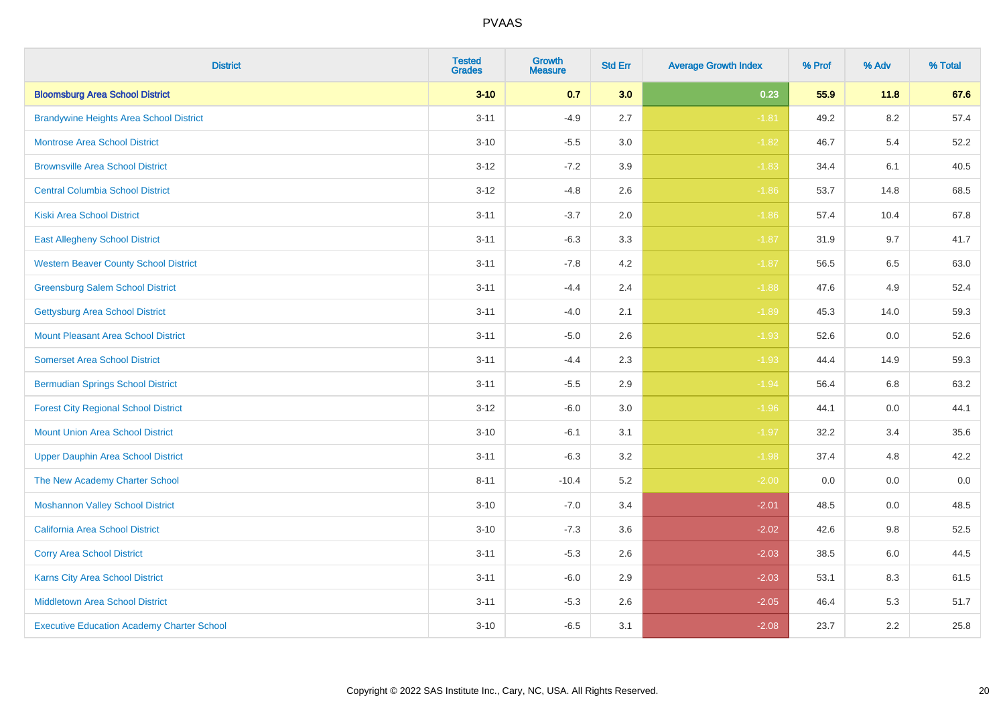| <b>District</b>                                   | <b>Tested</b><br><b>Grades</b> | <b>Growth</b><br><b>Measure</b> | <b>Std Err</b> | <b>Average Growth Index</b> | % Prof | % Adv   | % Total |
|---------------------------------------------------|--------------------------------|---------------------------------|----------------|-----------------------------|--------|---------|---------|
| <b>Bloomsburg Area School District</b>            | $3 - 10$                       | 0.7                             | 3.0            | 0.23                        | 55.9   | 11.8    | 67.6    |
| <b>Brandywine Heights Area School District</b>    | $3 - 11$                       | $-4.9$                          | 2.7            | $-1.81$                     | 49.2   | $8.2\,$ | 57.4    |
| <b>Montrose Area School District</b>              | $3 - 10$                       | $-5.5$                          | 3.0            | $-1.82$                     | 46.7   | 5.4     | 52.2    |
| <b>Brownsville Area School District</b>           | $3 - 12$                       | $-7.2$                          | 3.9            | $-1.83$                     | 34.4   | 6.1     | 40.5    |
| <b>Central Columbia School District</b>           | $3 - 12$                       | $-4.8$                          | 2.6            | $-1.86$                     | 53.7   | 14.8    | 68.5    |
| <b>Kiski Area School District</b>                 | $3 - 11$                       | $-3.7$                          | 2.0            | $-1.86$                     | 57.4   | 10.4    | 67.8    |
| <b>East Allegheny School District</b>             | $3 - 11$                       | $-6.3$                          | 3.3            | $-1.87$                     | 31.9   | 9.7     | 41.7    |
| <b>Western Beaver County School District</b>      | $3 - 11$                       | $-7.8$                          | 4.2            | $-1.87$                     | 56.5   | 6.5     | 63.0    |
| <b>Greensburg Salem School District</b>           | $3 - 11$                       | $-4.4$                          | 2.4            | $-1.88$                     | 47.6   | 4.9     | 52.4    |
| <b>Gettysburg Area School District</b>            | $3 - 11$                       | $-4.0$                          | 2.1            | $-1.89$                     | 45.3   | 14.0    | 59.3    |
| <b>Mount Pleasant Area School District</b>        | $3 - 11$                       | $-5.0$                          | 2.6            | $-1.93$                     | 52.6   | 0.0     | 52.6    |
| <b>Somerset Area School District</b>              | $3 - 11$                       | $-4.4$                          | 2.3            | $-1.93$                     | 44.4   | 14.9    | 59.3    |
| <b>Bermudian Springs School District</b>          | $3 - 11$                       | $-5.5$                          | 2.9            | $-1.94$                     | 56.4   | 6.8     | 63.2    |
| <b>Forest City Regional School District</b>       | $3 - 12$                       | $-6.0$                          | 3.0            | $-1.96$                     | 44.1   | 0.0     | 44.1    |
| <b>Mount Union Area School District</b>           | $3 - 10$                       | $-6.1$                          | 3.1            | $-1.97$                     | 32.2   | 3.4     | 35.6    |
| <b>Upper Dauphin Area School District</b>         | $3 - 11$                       | $-6.3$                          | 3.2            | $-1.98$                     | 37.4   | 4.8     | 42.2    |
| The New Academy Charter School                    | $8 - 11$                       | $-10.4$                         | 5.2            | $-2.00$                     | 0.0    | 0.0     | $0.0\,$ |
| <b>Moshannon Valley School District</b>           | $3 - 10$                       | $-7.0$                          | 3.4            | $-2.01$                     | 48.5   | 0.0     | 48.5    |
| <b>California Area School District</b>            | $3 - 10$                       | $-7.3$                          | 3.6            | $-2.02$                     | 42.6   | 9.8     | 52.5    |
| <b>Corry Area School District</b>                 | $3 - 11$                       | $-5.3$                          | 2.6            | $-2.03$                     | 38.5   | 6.0     | 44.5    |
| Karns City Area School District                   | $3 - 11$                       | $-6.0$                          | 2.9            | $-2.03$                     | 53.1   | 8.3     | 61.5    |
| <b>Middletown Area School District</b>            | $3 - 11$                       | $-5.3$                          | 2.6            | $-2.05$                     | 46.4   | 5.3     | 51.7    |
| <b>Executive Education Academy Charter School</b> | $3 - 10$                       | $-6.5$                          | 3.1            | $-2.08$                     | 23.7   | 2.2     | 25.8    |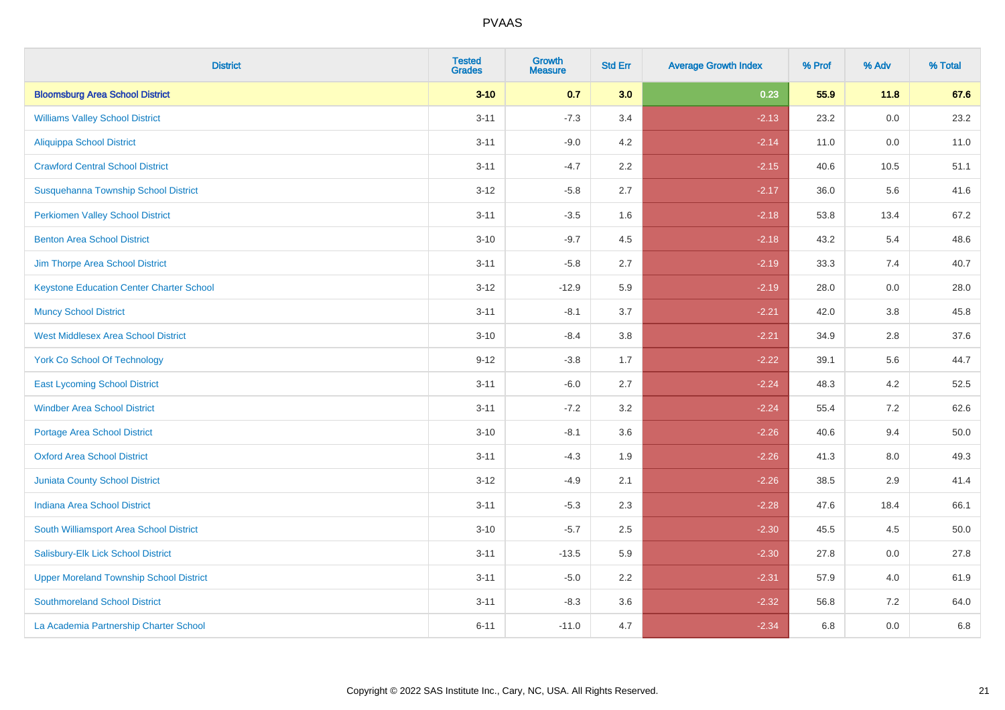| <b>District</b>                                 | <b>Tested</b><br><b>Grades</b> | <b>Growth</b><br><b>Measure</b> | <b>Std Err</b> | <b>Average Growth Index</b> | % Prof | % Adv   | % Total |
|-------------------------------------------------|--------------------------------|---------------------------------|----------------|-----------------------------|--------|---------|---------|
| <b>Bloomsburg Area School District</b>          | $3 - 10$                       | 0.7                             | 3.0            | 0.23                        | 55.9   | 11.8    | 67.6    |
| <b>Williams Valley School District</b>          | $3 - 11$                       | $-7.3$                          | 3.4            | $-2.13$                     | 23.2   | 0.0     | 23.2    |
| <b>Aliquippa School District</b>                | $3 - 11$                       | $-9.0$                          | 4.2            | $-2.14$                     | 11.0   | $0.0\,$ | 11.0    |
| <b>Crawford Central School District</b>         | $3 - 11$                       | $-4.7$                          | 2.2            | $-2.15$                     | 40.6   | 10.5    | 51.1    |
| Susquehanna Township School District            | $3 - 12$                       | $-5.8$                          | 2.7            | $-2.17$                     | 36.0   | 5.6     | 41.6    |
| <b>Perkiomen Valley School District</b>         | $3 - 11$                       | $-3.5$                          | 1.6            | $-2.18$                     | 53.8   | 13.4    | 67.2    |
| <b>Benton Area School District</b>              | $3 - 10$                       | $-9.7$                          | 4.5            | $-2.18$                     | 43.2   | 5.4     | 48.6    |
| Jim Thorpe Area School District                 | $3 - 11$                       | $-5.8$                          | 2.7            | $-2.19$                     | 33.3   | 7.4     | 40.7    |
| <b>Keystone Education Center Charter School</b> | $3 - 12$                       | $-12.9$                         | 5.9            | $-2.19$                     | 28.0   | 0.0     | 28.0    |
| <b>Muncy School District</b>                    | $3 - 11$                       | $-8.1$                          | 3.7            | $-2.21$                     | 42.0   | 3.8     | 45.8    |
| <b>West Middlesex Area School District</b>      | $3 - 10$                       | $-8.4$                          | 3.8            | $-2.21$                     | 34.9   | 2.8     | 37.6    |
| <b>York Co School Of Technology</b>             | $9 - 12$                       | $-3.8$                          | 1.7            | $-2.22$                     | 39.1   | 5.6     | 44.7    |
| <b>East Lycoming School District</b>            | $3 - 11$                       | $-6.0$                          | 2.7            | $-2.24$                     | 48.3   | 4.2     | 52.5    |
| <b>Windber Area School District</b>             | $3 - 11$                       | $-7.2$                          | 3.2            | $-2.24$                     | 55.4   | 7.2     | 62.6    |
| <b>Portage Area School District</b>             | $3 - 10$                       | $-8.1$                          | 3.6            | $-2.26$                     | 40.6   | 9.4     | 50.0    |
| <b>Oxford Area School District</b>              | $3 - 11$                       | $-4.3$                          | 1.9            | $-2.26$                     | 41.3   | $8.0\,$ | 49.3    |
| <b>Juniata County School District</b>           | $3 - 12$                       | $-4.9$                          | 2.1            | $-2.26$                     | 38.5   | 2.9     | 41.4    |
| <b>Indiana Area School District</b>             | $3 - 11$                       | $-5.3$                          | 2.3            | $-2.28$                     | 47.6   | 18.4    | 66.1    |
| South Williamsport Area School District         | $3 - 10$                       | $-5.7$                          | 2.5            | $-2.30$                     | 45.5   | 4.5     | 50.0    |
| Salisbury-Elk Lick School District              | $3 - 11$                       | $-13.5$                         | 5.9            | $-2.30$                     | 27.8   | 0.0     | 27.8    |
| <b>Upper Moreland Township School District</b>  | $3 - 11$                       | $-5.0$                          | 2.2            | $-2.31$                     | 57.9   | 4.0     | 61.9    |
| <b>Southmoreland School District</b>            | $3 - 11$                       | $-8.3$                          | 3.6            | $-2.32$                     | 56.8   | 7.2     | 64.0    |
| La Academia Partnership Charter School          | $6 - 11$                       | $-11.0$                         | 4.7            | $-2.34$                     | 6.8    | 0.0     | 6.8     |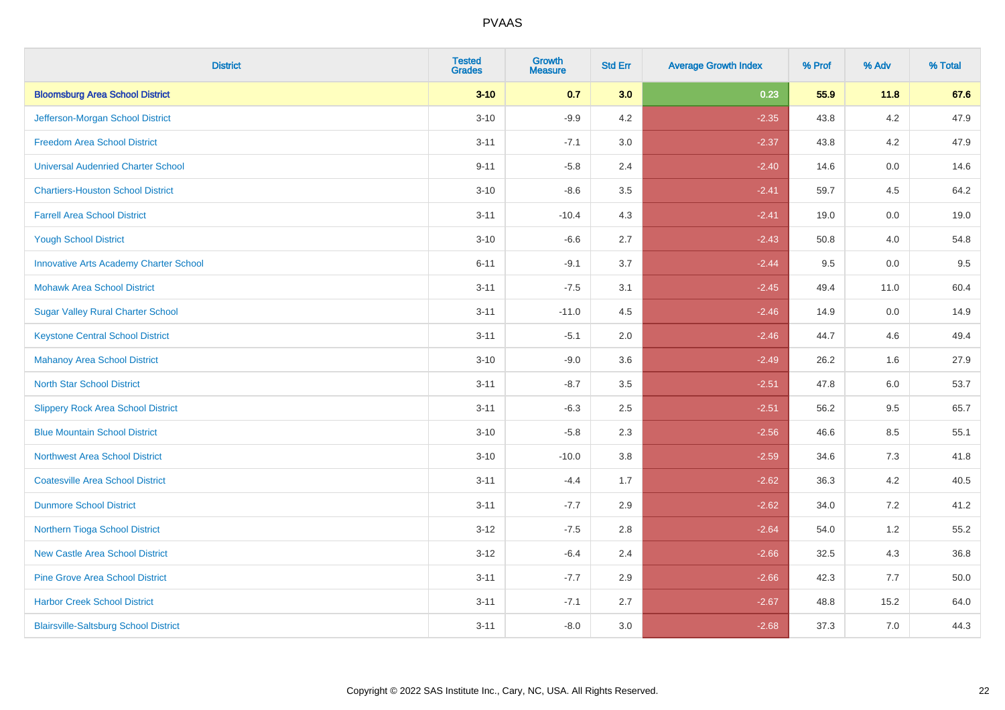| <b>District</b>                               | <b>Tested</b><br><b>Grades</b> | <b>Growth</b><br><b>Measure</b> | <b>Std Err</b> | <b>Average Growth Index</b> | % Prof | % Adv   | % Total |
|-----------------------------------------------|--------------------------------|---------------------------------|----------------|-----------------------------|--------|---------|---------|
| <b>Bloomsburg Area School District</b>        | $3 - 10$                       | 0.7                             | 3.0            | 0.23                        | 55.9   | 11.8    | 67.6    |
| Jefferson-Morgan School District              | $3 - 10$                       | $-9.9$                          | 4.2            | $-2.35$                     | 43.8   | $4.2\,$ | 47.9    |
| <b>Freedom Area School District</b>           | $3 - 11$                       | $-7.1$                          | 3.0            | $-2.37$                     | 43.8   | 4.2     | 47.9    |
| <b>Universal Audenried Charter School</b>     | $9 - 11$                       | $-5.8$                          | 2.4            | $-2.40$                     | 14.6   | 0.0     | 14.6    |
| <b>Chartiers-Houston School District</b>      | $3 - 10$                       | $-8.6$                          | 3.5            | $-2.41$                     | 59.7   | 4.5     | 64.2    |
| <b>Farrell Area School District</b>           | $3 - 11$                       | $-10.4$                         | 4.3            | $-2.41$                     | 19.0   | 0.0     | 19.0    |
| <b>Yough School District</b>                  | $3 - 10$                       | $-6.6$                          | 2.7            | $-2.43$                     | 50.8   | 4.0     | 54.8    |
| <b>Innovative Arts Academy Charter School</b> | $6 - 11$                       | $-9.1$                          | 3.7            | $-2.44$                     | 9.5    | 0.0     | 9.5     |
| <b>Mohawk Area School District</b>            | $3 - 11$                       | $-7.5$                          | 3.1            | $-2.45$                     | 49.4   | 11.0    | 60.4    |
| <b>Sugar Valley Rural Charter School</b>      | $3 - 11$                       | $-11.0$                         | 4.5            | $-2.46$                     | 14.9   | 0.0     | 14.9    |
| <b>Keystone Central School District</b>       | $3 - 11$                       | $-5.1$                          | 2.0            | $-2.46$                     | 44.7   | 4.6     | 49.4    |
| <b>Mahanoy Area School District</b>           | $3 - 10$                       | $-9.0$                          | 3.6            | $-2.49$                     | 26.2   | 1.6     | 27.9    |
| <b>North Star School District</b>             | $3 - 11$                       | $-8.7$                          | 3.5            | $-2.51$                     | 47.8   | 6.0     | 53.7    |
| <b>Slippery Rock Area School District</b>     | $3 - 11$                       | $-6.3$                          | 2.5            | $-2.51$                     | 56.2   | 9.5     | 65.7    |
| <b>Blue Mountain School District</b>          | $3 - 10$                       | $-5.8$                          | 2.3            | $-2.56$                     | 46.6   | 8.5     | 55.1    |
| <b>Northwest Area School District</b>         | $3 - 10$                       | $-10.0$                         | 3.8            | $-2.59$                     | 34.6   | $7.3$   | 41.8    |
| <b>Coatesville Area School District</b>       | $3 - 11$                       | $-4.4$                          | 1.7            | $-2.62$                     | 36.3   | 4.2     | 40.5    |
| <b>Dunmore School District</b>                | $3 - 11$                       | $-7.7$                          | 2.9            | $-2.62$                     | 34.0   | 7.2     | 41.2    |
| Northern Tioga School District                | $3 - 12$                       | $-7.5$                          | 2.8            | $-2.64$                     | 54.0   | 1.2     | 55.2    |
| <b>New Castle Area School District</b>        | $3 - 12$                       | $-6.4$                          | 2.4            | $-2.66$                     | 32.5   | 4.3     | 36.8    |
| <b>Pine Grove Area School District</b>        | $3 - 11$                       | $-7.7$                          | 2.9            | $-2.66$                     | 42.3   | 7.7     | 50.0    |
| <b>Harbor Creek School District</b>           | $3 - 11$                       | $-7.1$                          | 2.7            | $-2.67$                     | 48.8   | 15.2    | 64.0    |
| <b>Blairsville-Saltsburg School District</b>  | $3 - 11$                       | $-8.0$                          | 3.0            | $-2.68$                     | 37.3   | 7.0     | 44.3    |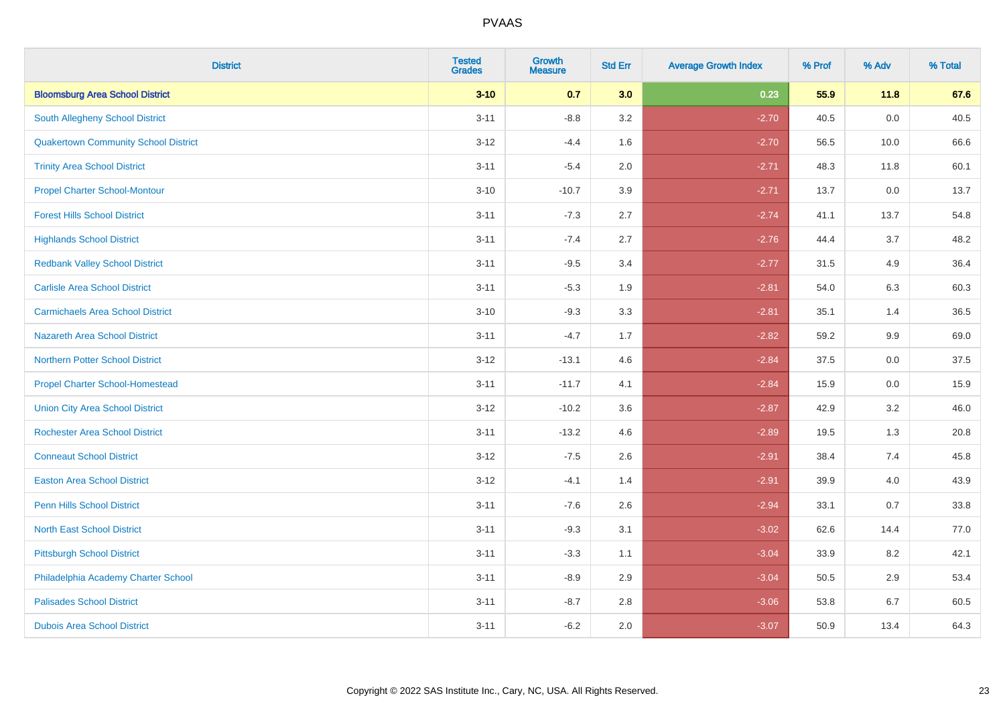| <b>District</b>                             | <b>Tested</b><br><b>Grades</b> | <b>Growth</b><br><b>Measure</b> | <b>Std Err</b> | <b>Average Growth Index</b> | % Prof | % Adv | % Total |
|---------------------------------------------|--------------------------------|---------------------------------|----------------|-----------------------------|--------|-------|---------|
| <b>Bloomsburg Area School District</b>      | $3 - 10$                       | 0.7                             | 3.0            | 0.23                        | 55.9   | 11.8  | 67.6    |
| South Allegheny School District             | $3 - 11$                       | $-8.8$                          | 3.2            | $-2.70$                     | 40.5   | 0.0   | 40.5    |
| <b>Quakertown Community School District</b> | $3 - 12$                       | $-4.4$                          | 1.6            | $-2.70$                     | 56.5   | 10.0  | 66.6    |
| <b>Trinity Area School District</b>         | $3 - 11$                       | $-5.4$                          | 2.0            | $-2.71$                     | 48.3   | 11.8  | 60.1    |
| <b>Propel Charter School-Montour</b>        | $3 - 10$                       | $-10.7$                         | 3.9            | $-2.71$                     | 13.7   | 0.0   | 13.7    |
| <b>Forest Hills School District</b>         | $3 - 11$                       | $-7.3$                          | 2.7            | $-2.74$                     | 41.1   | 13.7  | 54.8    |
| <b>Highlands School District</b>            | $3 - 11$                       | $-7.4$                          | 2.7            | $-2.76$                     | 44.4   | 3.7   | 48.2    |
| <b>Redbank Valley School District</b>       | $3 - 11$                       | $-9.5$                          | 3.4            | $-2.77$                     | 31.5   | 4.9   | 36.4    |
| <b>Carlisle Area School District</b>        | $3 - 11$                       | $-5.3$                          | 1.9            | $-2.81$                     | 54.0   | 6.3   | 60.3    |
| <b>Carmichaels Area School District</b>     | $3 - 10$                       | $-9.3$                          | 3.3            | $-2.81$                     | 35.1   | 1.4   | 36.5    |
| <b>Nazareth Area School District</b>        | $3 - 11$                       | $-4.7$                          | 1.7            | $-2.82$                     | 59.2   | 9.9   | 69.0    |
| <b>Northern Potter School District</b>      | $3 - 12$                       | $-13.1$                         | 4.6            | $-2.84$                     | 37.5   | 0.0   | 37.5    |
| <b>Propel Charter School-Homestead</b>      | $3 - 11$                       | $-11.7$                         | 4.1            | $-2.84$                     | 15.9   | 0.0   | 15.9    |
| <b>Union City Area School District</b>      | $3 - 12$                       | $-10.2$                         | 3.6            | $-2.87$                     | 42.9   | 3.2   | 46.0    |
| <b>Rochester Area School District</b>       | $3 - 11$                       | $-13.2$                         | 4.6            | $-2.89$                     | 19.5   | 1.3   | 20.8    |
| <b>Conneaut School District</b>             | $3 - 12$                       | $-7.5$                          | 2.6            | $-2.91$                     | 38.4   | 7.4   | 45.8    |
| <b>Easton Area School District</b>          | $3 - 12$                       | $-4.1$                          | 1.4            | $-2.91$                     | 39.9   | 4.0   | 43.9    |
| <b>Penn Hills School District</b>           | $3 - 11$                       | $-7.6$                          | 2.6            | $-2.94$                     | 33.1   | 0.7   | 33.8    |
| <b>North East School District</b>           | $3 - 11$                       | $-9.3$                          | 3.1            | $-3.02$                     | 62.6   | 14.4  | 77.0    |
| <b>Pittsburgh School District</b>           | $3 - 11$                       | $-3.3$                          | 1.1            | $-3.04$                     | 33.9   | 8.2   | 42.1    |
| Philadelphia Academy Charter School         | $3 - 11$                       | $-8.9$                          | 2.9            | $-3.04$                     | 50.5   | 2.9   | 53.4    |
| <b>Palisades School District</b>            | $3 - 11$                       | $-8.7$                          | 2.8            | $-3.06$                     | 53.8   | 6.7   | 60.5    |
| <b>Dubois Area School District</b>          | $3 - 11$                       | $-6.2$                          | 2.0            | $-3.07$                     | 50.9   | 13.4  | 64.3    |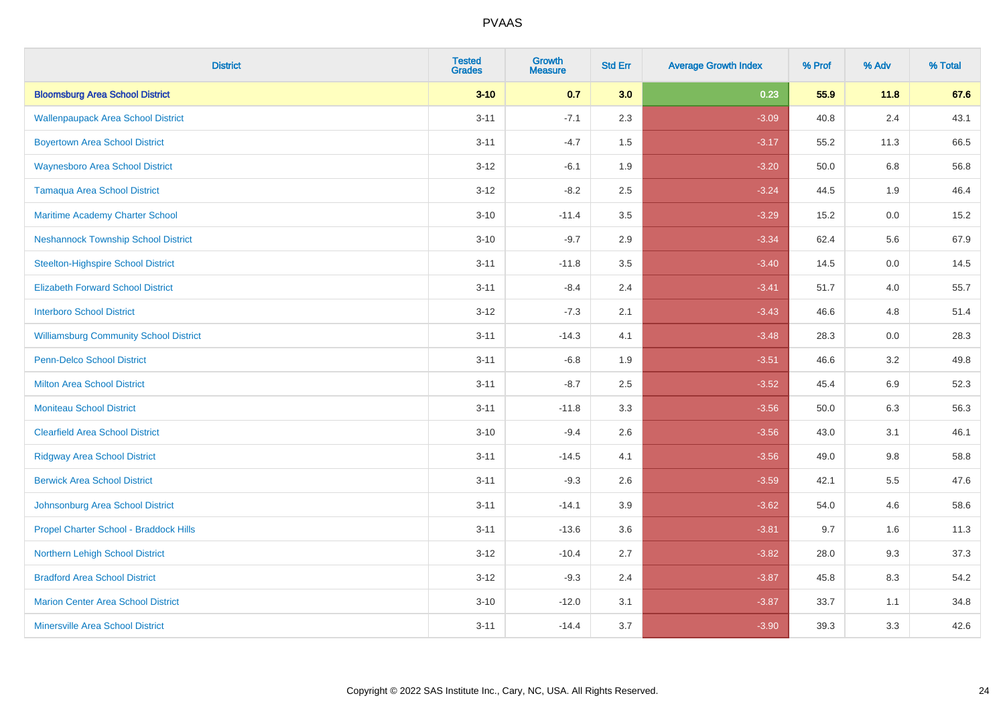| <b>District</b>                               | <b>Tested</b><br><b>Grades</b> | <b>Growth</b><br><b>Measure</b> | <b>Std Err</b> | <b>Average Growth Index</b> | % Prof | % Adv   | % Total |
|-----------------------------------------------|--------------------------------|---------------------------------|----------------|-----------------------------|--------|---------|---------|
| <b>Bloomsburg Area School District</b>        | $3 - 10$                       | 0.7                             | 3.0            | 0.23                        | 55.9   | 11.8    | 67.6    |
| <b>Wallenpaupack Area School District</b>     | $3 - 11$                       | $-7.1$                          | 2.3            | $-3.09$                     | 40.8   | 2.4     | 43.1    |
| <b>Boyertown Area School District</b>         | $3 - 11$                       | $-4.7$                          | 1.5            | $-3.17$                     | 55.2   | 11.3    | 66.5    |
| <b>Waynesboro Area School District</b>        | $3 - 12$                       | $-6.1$                          | 1.9            | $-3.20$                     | 50.0   | 6.8     | 56.8    |
| Tamaqua Area School District                  | $3 - 12$                       | $-8.2$                          | 2.5            | $-3.24$                     | 44.5   | 1.9     | 46.4    |
| Maritime Academy Charter School               | $3 - 10$                       | $-11.4$                         | 3.5            | $-3.29$                     | 15.2   | 0.0     | 15.2    |
| <b>Neshannock Township School District</b>    | $3 - 10$                       | $-9.7$                          | 2.9            | $-3.34$                     | 62.4   | 5.6     | 67.9    |
| <b>Steelton-Highspire School District</b>     | $3 - 11$                       | $-11.8$                         | 3.5            | $-3.40$                     | 14.5   | 0.0     | 14.5    |
| <b>Elizabeth Forward School District</b>      | $3 - 11$                       | $-8.4$                          | 2.4            | $-3.41$                     | 51.7   | 4.0     | 55.7    |
| <b>Interboro School District</b>              | $3 - 12$                       | $-7.3$                          | 2.1            | $-3.43$                     | 46.6   | 4.8     | 51.4    |
| <b>Williamsburg Community School District</b> | $3 - 11$                       | $-14.3$                         | 4.1            | $-3.48$                     | 28.3   | 0.0     | 28.3    |
| <b>Penn-Delco School District</b>             | $3 - 11$                       | $-6.8$                          | 1.9            | $-3.51$                     | 46.6   | 3.2     | 49.8    |
| <b>Milton Area School District</b>            | $3 - 11$                       | $-8.7$                          | 2.5            | $-3.52$                     | 45.4   | 6.9     | 52.3    |
| <b>Moniteau School District</b>               | $3 - 11$                       | $-11.8$                         | 3.3            | $-3.56$                     | 50.0   | 6.3     | 56.3    |
| <b>Clearfield Area School District</b>        | $3 - 10$                       | $-9.4$                          | 2.6            | $-3.56$                     | 43.0   | 3.1     | 46.1    |
| <b>Ridgway Area School District</b>           | $3 - 11$                       | $-14.5$                         | 4.1            | $-3.56$                     | 49.0   | $9.8\,$ | 58.8    |
| <b>Berwick Area School District</b>           | $3 - 11$                       | $-9.3$                          | 2.6            | $-3.59$                     | 42.1   | 5.5     | 47.6    |
| Johnsonburg Area School District              | $3 - 11$                       | $-14.1$                         | 3.9            | $-3.62$                     | 54.0   | 4.6     | 58.6    |
| Propel Charter School - Braddock Hills        | $3 - 11$                       | $-13.6$                         | 3.6            | $-3.81$                     | 9.7    | 1.6     | 11.3    |
| Northern Lehigh School District               | $3 - 12$                       | $-10.4$                         | 2.7            | $-3.82$                     | 28.0   | 9.3     | 37.3    |
| <b>Bradford Area School District</b>          | $3 - 12$                       | $-9.3$                          | 2.4            | $-3.87$                     | 45.8   | 8.3     | 54.2    |
| <b>Marion Center Area School District</b>     | $3 - 10$                       | $-12.0$                         | 3.1            | $-3.87$                     | 33.7   | 1.1     | 34.8    |
| <b>Minersville Area School District</b>       | $3 - 11$                       | $-14.4$                         | 3.7            | $-3.90$                     | 39.3   | 3.3     | 42.6    |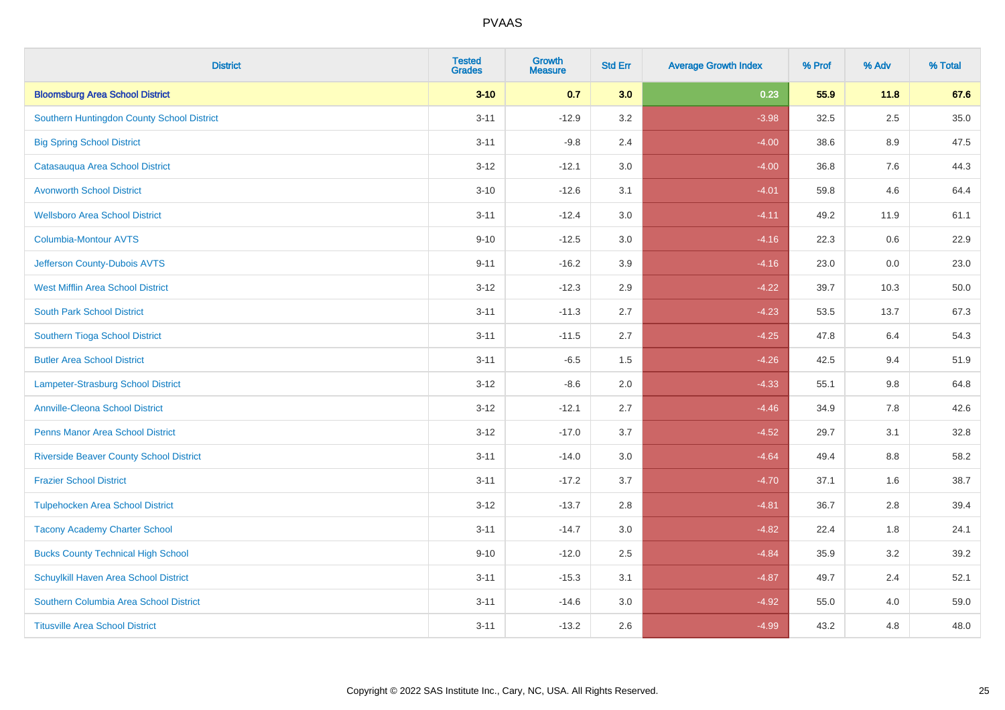| <b>District</b>                                | <b>Tested</b><br><b>Grades</b> | <b>Growth</b><br><b>Measure</b> | <b>Std Err</b> | <b>Average Growth Index</b> | % Prof | % Adv   | % Total |
|------------------------------------------------|--------------------------------|---------------------------------|----------------|-----------------------------|--------|---------|---------|
| <b>Bloomsburg Area School District</b>         | $3 - 10$                       | 0.7                             | 3.0            | 0.23                        | 55.9   | 11.8    | 67.6    |
| Southern Huntingdon County School District     | $3 - 11$                       | $-12.9$                         | 3.2            | $-3.98$                     | 32.5   | $2.5\,$ | 35.0    |
| <b>Big Spring School District</b>              | $3 - 11$                       | $-9.8$                          | 2.4            | $-4.00$                     | 38.6   | 8.9     | 47.5    |
| Catasauqua Area School District                | $3 - 12$                       | $-12.1$                         | 3.0            | $-4.00$                     | 36.8   | 7.6     | 44.3    |
| <b>Avonworth School District</b>               | $3 - 10$                       | $-12.6$                         | 3.1            | $-4.01$                     | 59.8   | 4.6     | 64.4    |
| <b>Wellsboro Area School District</b>          | $3 - 11$                       | $-12.4$                         | 3.0            | $-4.11$                     | 49.2   | 11.9    | 61.1    |
| Columbia-Montour AVTS                          | $9 - 10$                       | $-12.5$                         | 3.0            | $-4.16$                     | 22.3   | 0.6     | 22.9    |
| Jefferson County-Dubois AVTS                   | $9 - 11$                       | $-16.2$                         | 3.9            | $-4.16$                     | 23.0   | 0.0     | 23.0    |
| <b>West Mifflin Area School District</b>       | $3 - 12$                       | $-12.3$                         | 2.9            | $-4.22$                     | 39.7   | 10.3    | 50.0    |
| <b>South Park School District</b>              | $3 - 11$                       | $-11.3$                         | 2.7            | $-4.23$                     | 53.5   | 13.7    | 67.3    |
| Southern Tioga School District                 | $3 - 11$                       | $-11.5$                         | 2.7            | $-4.25$                     | 47.8   | 6.4     | 54.3    |
| <b>Butler Area School District</b>             | $3 - 11$                       | $-6.5$                          | 1.5            | $-4.26$                     | 42.5   | 9.4     | 51.9    |
| Lampeter-Strasburg School District             | $3 - 12$                       | $-8.6$                          | 2.0            | $-4.33$                     | 55.1   | $9.8\,$ | 64.8    |
| <b>Annville-Cleona School District</b>         | $3 - 12$                       | $-12.1$                         | 2.7            | $-4.46$                     | 34.9   | $7.8\,$ | 42.6    |
| <b>Penns Manor Area School District</b>        | $3 - 12$                       | $-17.0$                         | 3.7            | $-4.52$                     | 29.7   | 3.1     | 32.8    |
| <b>Riverside Beaver County School District</b> | $3 - 11$                       | $-14.0$                         | 3.0            | $-4.64$                     | 49.4   | 8.8     | 58.2    |
| <b>Frazier School District</b>                 | $3 - 11$                       | $-17.2$                         | 3.7            | $-4.70$                     | 37.1   | 1.6     | 38.7    |
| <b>Tulpehocken Area School District</b>        | $3 - 12$                       | $-13.7$                         | 2.8            | $-4.81$                     | 36.7   | 2.8     | 39.4    |
| <b>Tacony Academy Charter School</b>           | $3 - 11$                       | $-14.7$                         | 3.0            | $-4.82$                     | 22.4   | 1.8     | 24.1    |
| <b>Bucks County Technical High School</b>      | $9 - 10$                       | $-12.0$                         | 2.5            | $-4.84$                     | 35.9   | 3.2     | 39.2    |
| Schuylkill Haven Area School District          | $3 - 11$                       | $-15.3$                         | 3.1            | $-4.87$                     | 49.7   | 2.4     | 52.1    |
| Southern Columbia Area School District         | $3 - 11$                       | $-14.6$                         | 3.0            | $-4.92$                     | 55.0   | 4.0     | 59.0    |
| <b>Titusville Area School District</b>         | $3 - 11$                       | $-13.2$                         | 2.6            | $-4.99$                     | 43.2   | 4.8     | 48.0    |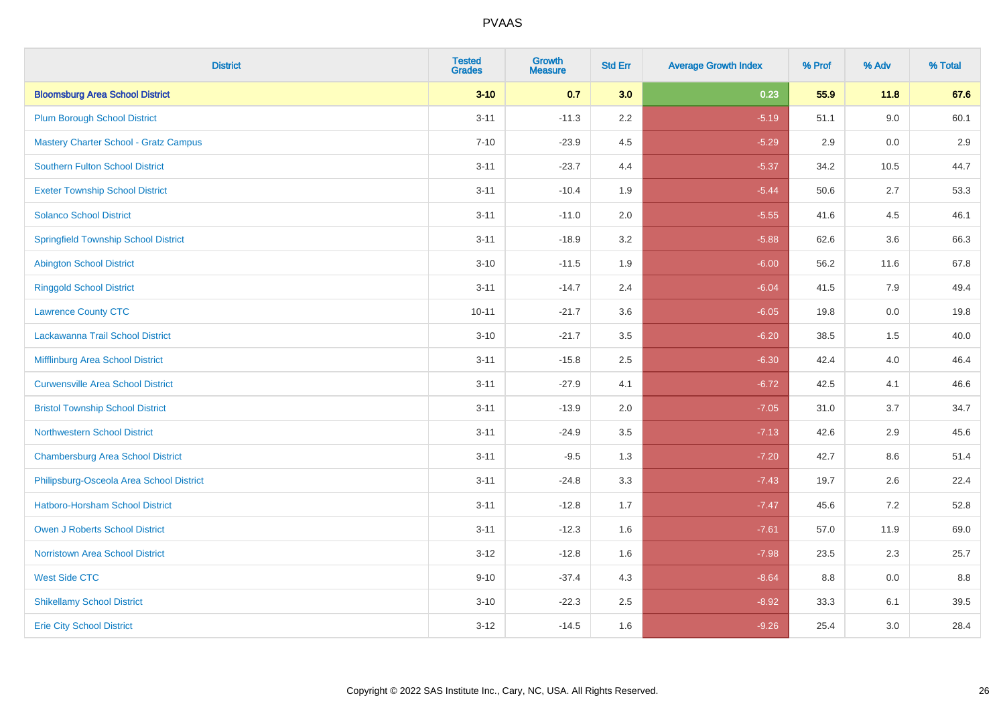| <b>District</b>                              | <b>Tested</b><br><b>Grades</b> | <b>Growth</b><br><b>Measure</b> | <b>Std Err</b> | <b>Average Growth Index</b> | % Prof | % Adv   | % Total |
|----------------------------------------------|--------------------------------|---------------------------------|----------------|-----------------------------|--------|---------|---------|
| <b>Bloomsburg Area School District</b>       | $3 - 10$                       | 0.7                             | 3.0            | 0.23                        | 55.9   | 11.8    | 67.6    |
| <b>Plum Borough School District</b>          | $3 - 11$                       | $-11.3$                         | 2.2            | $-5.19$                     | 51.1   | 9.0     | 60.1    |
| <b>Mastery Charter School - Gratz Campus</b> | $7 - 10$                       | $-23.9$                         | 4.5            | $-5.29$                     | 2.9    | 0.0     | 2.9     |
| <b>Southern Fulton School District</b>       | $3 - 11$                       | $-23.7$                         | 4.4            | $-5.37$                     | 34.2   | 10.5    | 44.7    |
| <b>Exeter Township School District</b>       | $3 - 11$                       | $-10.4$                         | 1.9            | $-5.44$                     | 50.6   | 2.7     | 53.3    |
| <b>Solanco School District</b>               | $3 - 11$                       | $-11.0$                         | 2.0            | $-5.55$                     | 41.6   | 4.5     | 46.1    |
| <b>Springfield Township School District</b>  | $3 - 11$                       | $-18.9$                         | 3.2            | $-5.88$                     | 62.6   | 3.6     | 66.3    |
| <b>Abington School District</b>              | $3 - 10$                       | $-11.5$                         | 1.9            | $-6.00$                     | 56.2   | 11.6    | 67.8    |
| <b>Ringgold School District</b>              | $3 - 11$                       | $-14.7$                         | 2.4            | $-6.04$                     | 41.5   | 7.9     | 49.4    |
| <b>Lawrence County CTC</b>                   | $10 - 11$                      | $-21.7$                         | 3.6            | $-6.05$                     | 19.8   | 0.0     | 19.8    |
| Lackawanna Trail School District             | $3 - 10$                       | $-21.7$                         | 3.5            | $-6.20$                     | 38.5   | 1.5     | 40.0    |
| Mifflinburg Area School District             | $3 - 11$                       | $-15.8$                         | 2.5            | $-6.30$                     | 42.4   | 4.0     | 46.4    |
| <b>Curwensville Area School District</b>     | $3 - 11$                       | $-27.9$                         | 4.1            | $-6.72$                     | 42.5   | 4.1     | 46.6    |
| <b>Bristol Township School District</b>      | $3 - 11$                       | $-13.9$                         | 2.0            | $-7.05$                     | 31.0   | 3.7     | 34.7    |
| <b>Northwestern School District</b>          | $3 - 11$                       | $-24.9$                         | 3.5            | $-7.13$                     | 42.6   | 2.9     | 45.6    |
| <b>Chambersburg Area School District</b>     | $3 - 11$                       | $-9.5$                          | 1.3            | $-7.20$                     | 42.7   | $8.6\,$ | 51.4    |
| Philipsburg-Osceola Area School District     | $3 - 11$                       | $-24.8$                         | 3.3            | $-7.43$                     | 19.7   | 2.6     | 22.4    |
| Hatboro-Horsham School District              | $3 - 11$                       | $-12.8$                         | 1.7            | $-7.47$                     | 45.6   | 7.2     | 52.8    |
| Owen J Roberts School District               | $3 - 11$                       | $-12.3$                         | 1.6            | $-7.61$                     | 57.0   | 11.9    | 69.0    |
| <b>Norristown Area School District</b>       | $3 - 12$                       | $-12.8$                         | 1.6            | $-7.98$                     | 23.5   | 2.3     | 25.7    |
| <b>West Side CTC</b>                         | $9 - 10$                       | $-37.4$                         | 4.3            | $-8.64$                     | 8.8    | 0.0     | 8.8     |
| <b>Shikellamy School District</b>            | $3 - 10$                       | $-22.3$                         | 2.5            | $-8.92$                     | 33.3   | 6.1     | 39.5    |
| <b>Erie City School District</b>             | $3 - 12$                       | $-14.5$                         | 1.6            | $-9.26$                     | 25.4   | 3.0     | 28.4    |